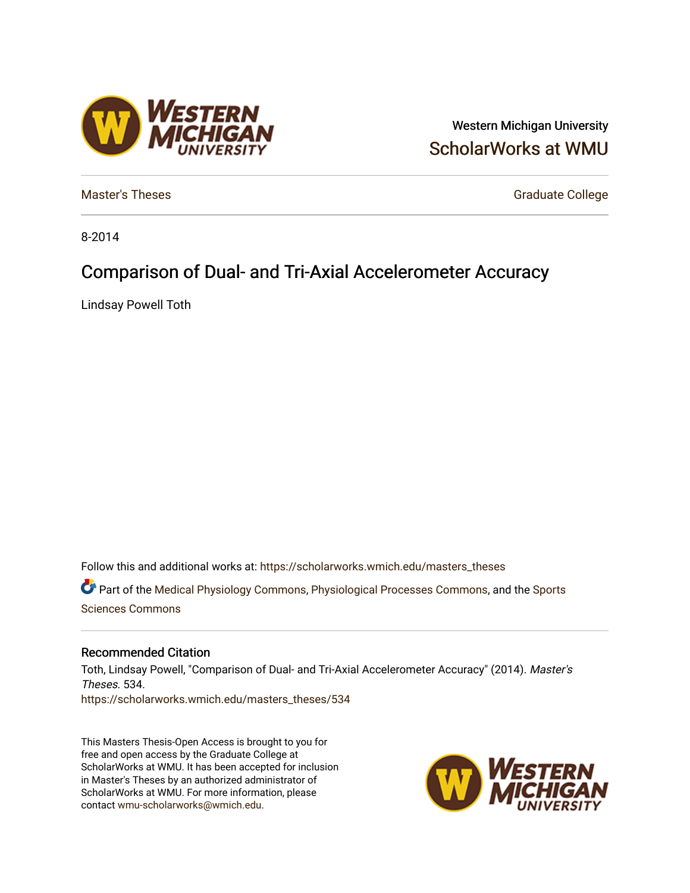## Western Michigan University [ScholarWorks at WMU](https://scholarworks.wmich.edu/)

[Master's Theses](https://scholarworks.wmich.edu/masters_theses) Graduate College

8-2014

# Comparison of Dual- and Tri-Axial Accelerometer Accuracy

Lindsay Powell Toth

Follow this and additional works at: [https://scholarworks.wmich.edu/masters\\_theses](https://scholarworks.wmich.edu/masters_theses?utm_source=scholarworks.wmich.edu%2Fmasters_theses%2F534&utm_medium=PDF&utm_campaign=PDFCoverPages) 

Part of the [Medical Physiology Commons,](http://network.bepress.com/hgg/discipline/677?utm_source=scholarworks.wmich.edu%2Fmasters_theses%2F534&utm_medium=PDF&utm_campaign=PDFCoverPages) [Physiological Processes Commons](http://network.bepress.com/hgg/discipline/916?utm_source=scholarworks.wmich.edu%2Fmasters_theses%2F534&utm_medium=PDF&utm_campaign=PDFCoverPages), and the [Sports](http://network.bepress.com/hgg/discipline/759?utm_source=scholarworks.wmich.edu%2Fmasters_theses%2F534&utm_medium=PDF&utm_campaign=PDFCoverPages) [Sciences Commons](http://network.bepress.com/hgg/discipline/759?utm_source=scholarworks.wmich.edu%2Fmasters_theses%2F534&utm_medium=PDF&utm_campaign=PDFCoverPages) 

#### Recommended Citation

Toth, Lindsay Powell, "Comparison of Dual- and Tri-Axial Accelerometer Accuracy" (2014). Master's Theses. 534. [https://scholarworks.wmich.edu/masters\\_theses/534](https://scholarworks.wmich.edu/masters_theses/534?utm_source=scholarworks.wmich.edu%2Fmasters_theses%2F534&utm_medium=PDF&utm_campaign=PDFCoverPages) 

This Masters Thesis-Open Access is brought to you for free and open access by the Graduate College at ScholarWorks at WMU. It has been accepted for inclusion in Master's Theses by an authorized administrator of ScholarWorks at WMU. For more information, please contact [wmu-scholarworks@wmich.edu](mailto:wmu-scholarworks@wmich.edu).



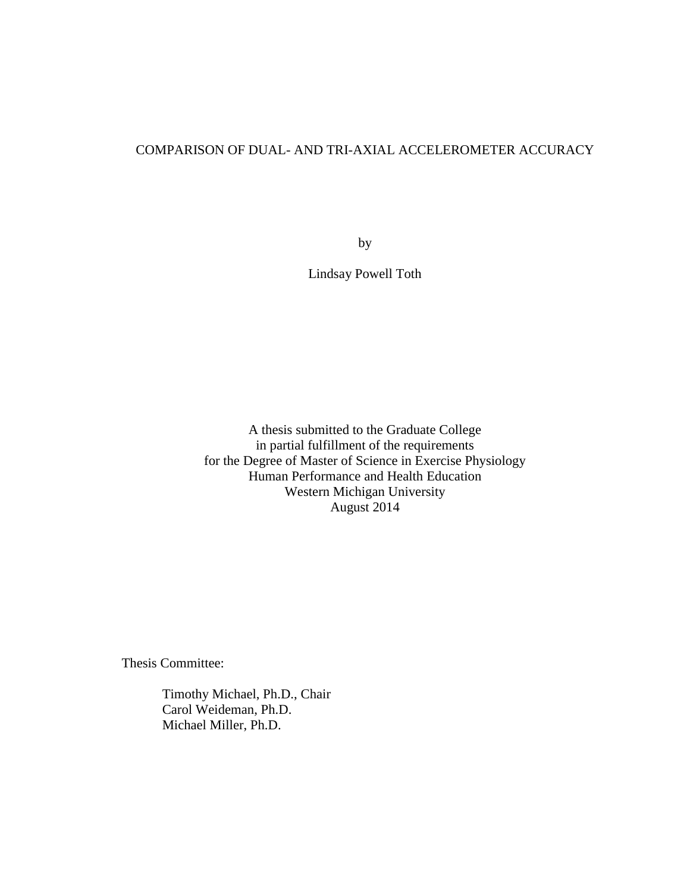## COMPARISON OF DUAL- AND TRI-AXIAL ACCELEROMETER ACCURACY

by

Lindsay Powell Toth

A thesis submitted to the Graduate College in partial fulfillment of the requirements for the Degree of Master of Science in Exercise Physiology Human Performance and Health Education Western Michigan University August 2014

Thesis Committee:

Timothy Michael, Ph.D., Chair Carol Weideman, Ph.D. Michael Miller, Ph.D.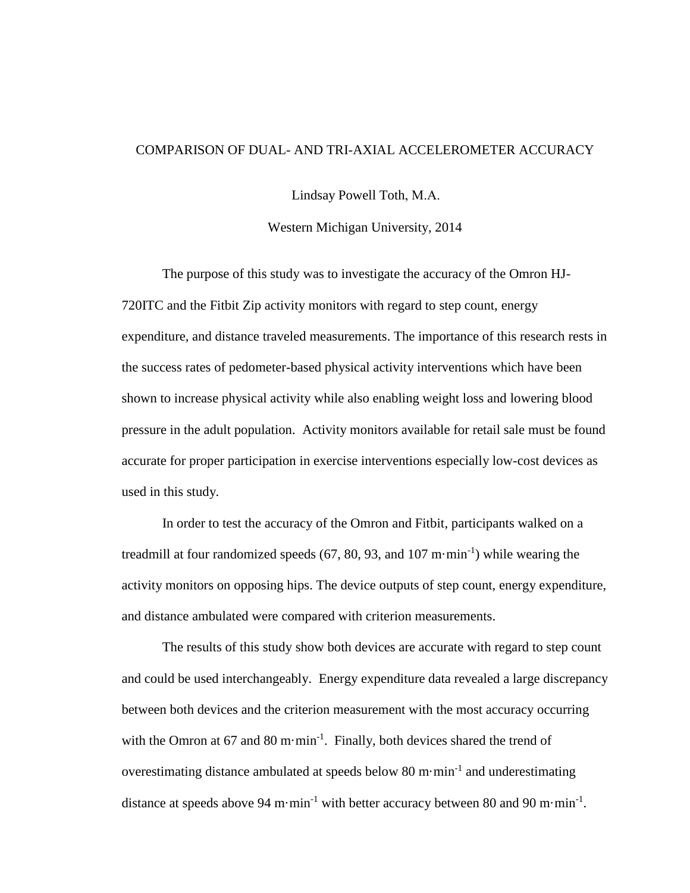### COMPARISON OF DUAL- AND TRI-AXIAL ACCELEROMETER ACCURACY

Lindsay Powell Toth, M.A.

Western Michigan University, 2014

The purpose of this study was to investigate the accuracy of the Omron HJ-720ITC and the Fitbit Zip activity monitors with regard to step count, energy expenditure, and distance traveled measurements. The importance of this research rests in the success rates of pedometer-based physical activity interventions which have been shown to increase physical activity while also enabling weight loss and lowering blood pressure in the adult population. Activity monitors available for retail sale must be found accurate for proper participation in exercise interventions especially low-cost devices as used in this study.

In order to test the accuracy of the Omron and Fitbit, participants walked on a treadmill at four randomized speeds  $(67, 80, 93,$  and  $107 \text{ m} \cdot \text{min}^{-1})$  while wearing the activity monitors on opposing hips. The device outputs of step count, energy expenditure, and distance ambulated were compared with criterion measurements.

The results of this study show both devices are accurate with regard to step count and could be used interchangeably. Energy expenditure data revealed a large discrepancy between both devices and the criterion measurement with the most accuracy occurring with the Omron at 67 and 80 m·min<sup>-1</sup>. Finally, both devices shared the trend of overestimating distance ambulated at speeds below 80 m $\cdot$ min $^{-1}$  and underestimating distance at speeds above 94 m $\cdot$ min<sup>-1</sup> with better accuracy between 80 and 90 m $\cdot$ min<sup>-1</sup>.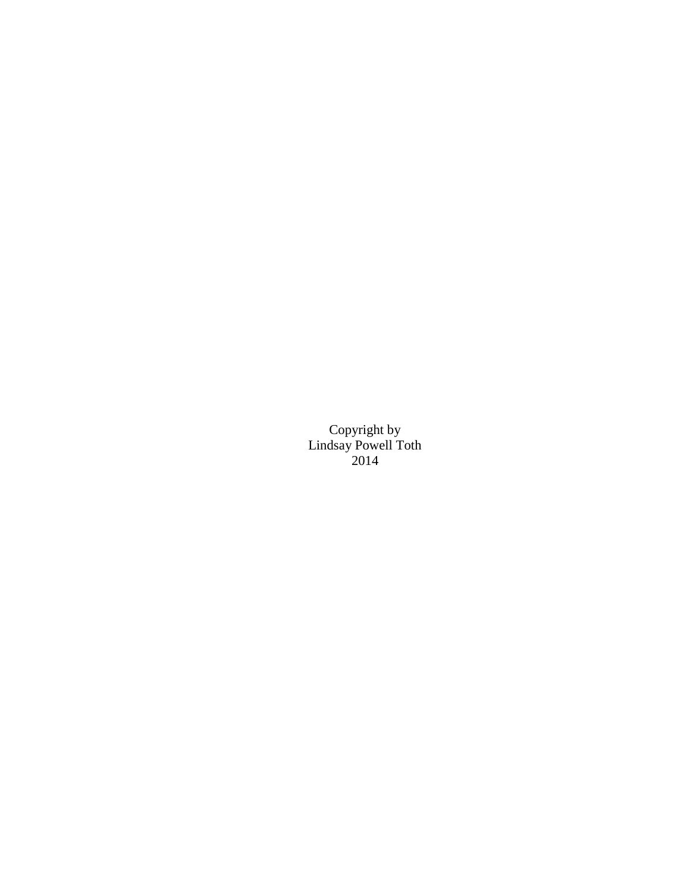Copyright by Lindsay Powell Toth 2014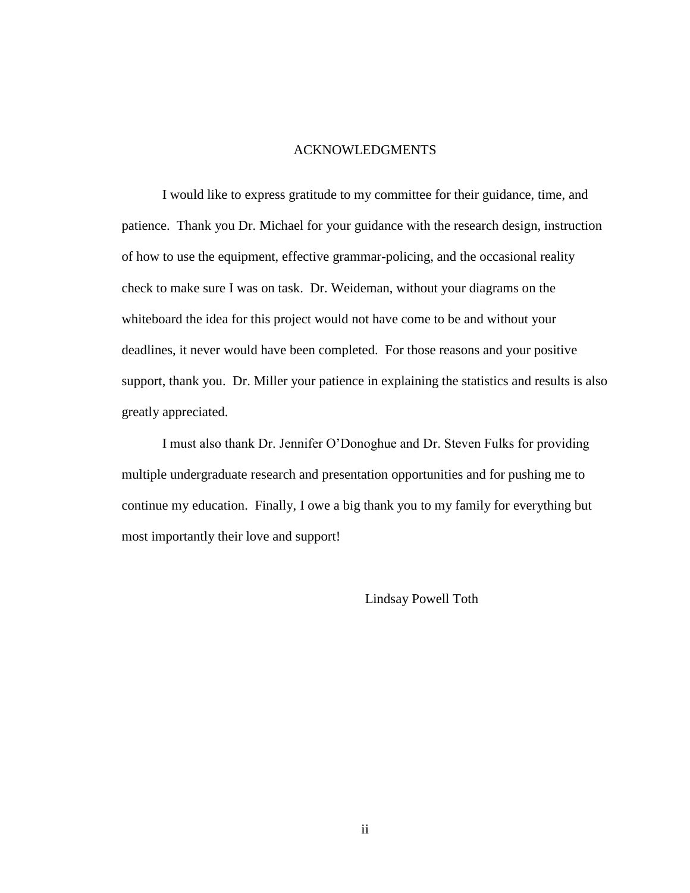#### ACKNOWLEDGMENTS

I would like to express gratitude to my committee for their guidance, time, and patience. Thank you Dr. Michael for your guidance with the research design, instruction of how to use the equipment, effective grammar-policing, and the occasional reality check to make sure I was on task. Dr. Weideman, without your diagrams on the whiteboard the idea for this project would not have come to be and without your deadlines, it never would have been completed. For those reasons and your positive support, thank you. Dr. Miller your patience in explaining the statistics and results is also greatly appreciated.

I must also thank Dr. Jennifer O'Donoghue and Dr. Steven Fulks for providing multiple undergraduate research and presentation opportunities and for pushing me to continue my education. Finally, I owe a big thank you to my family for everything but most importantly their love and support!

Lindsay Powell Toth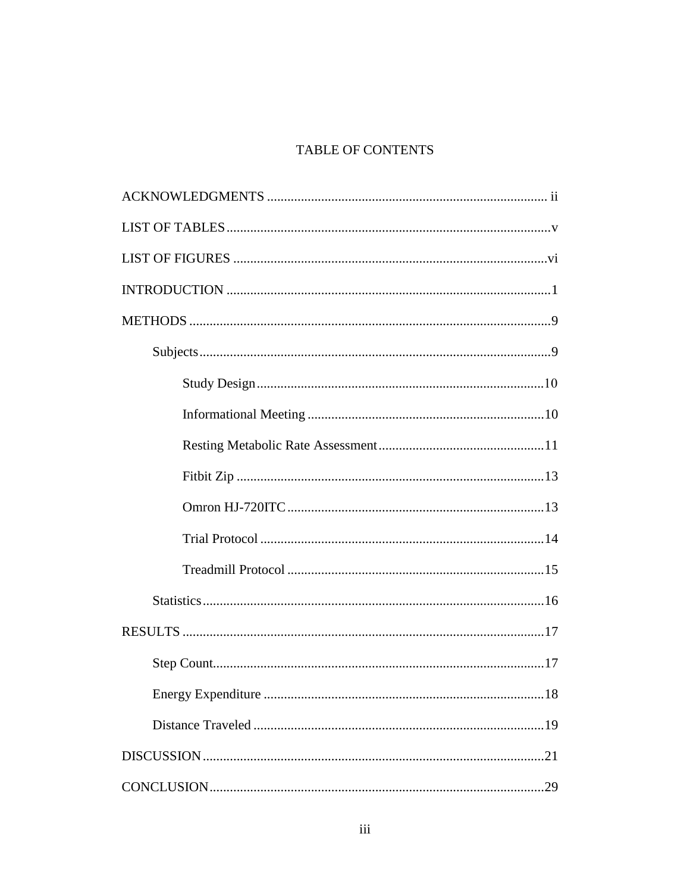## TABLE OF CONTENTS

| Energy Expenditure<br>18 |  |  |  |
|--------------------------|--|--|--|
|                          |  |  |  |
|                          |  |  |  |
|                          |  |  |  |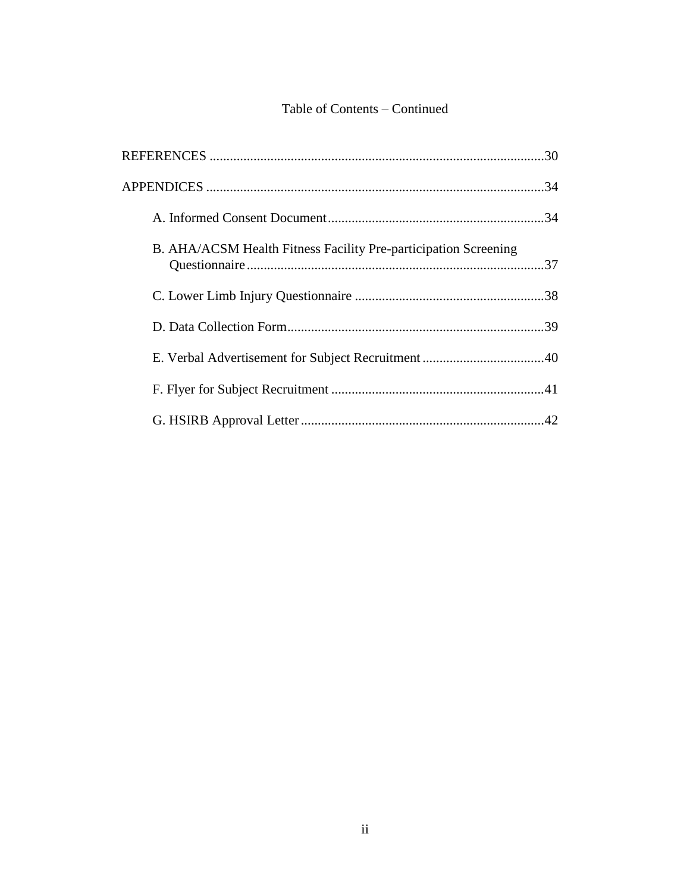## Table of Contents – Continued

|  | B. AHA/ACSM Health Fitness Facility Pre-participation Screening |  |
|--|-----------------------------------------------------------------|--|
|  |                                                                 |  |
|  |                                                                 |  |
|  |                                                                 |  |
|  |                                                                 |  |
|  |                                                                 |  |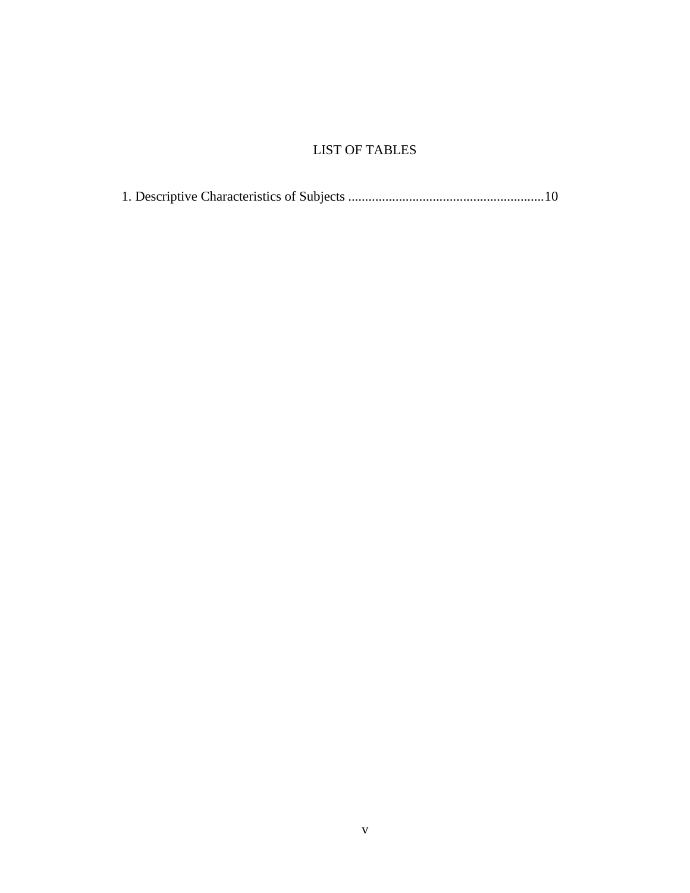## LIST OF TABLES

1. Descriptive Characteristics of Subjects .......................................................... 10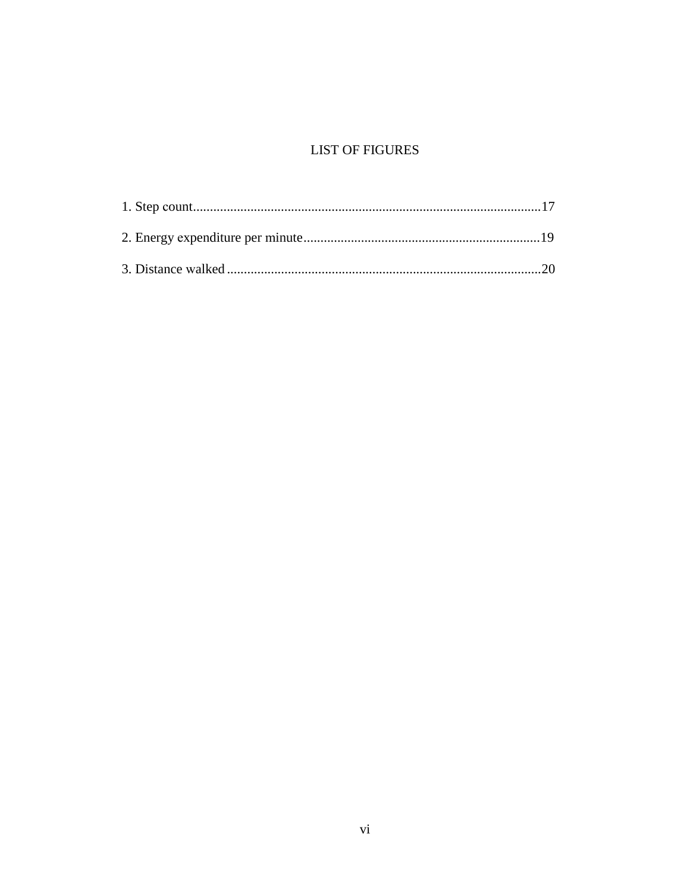## **LIST OF FIGURES**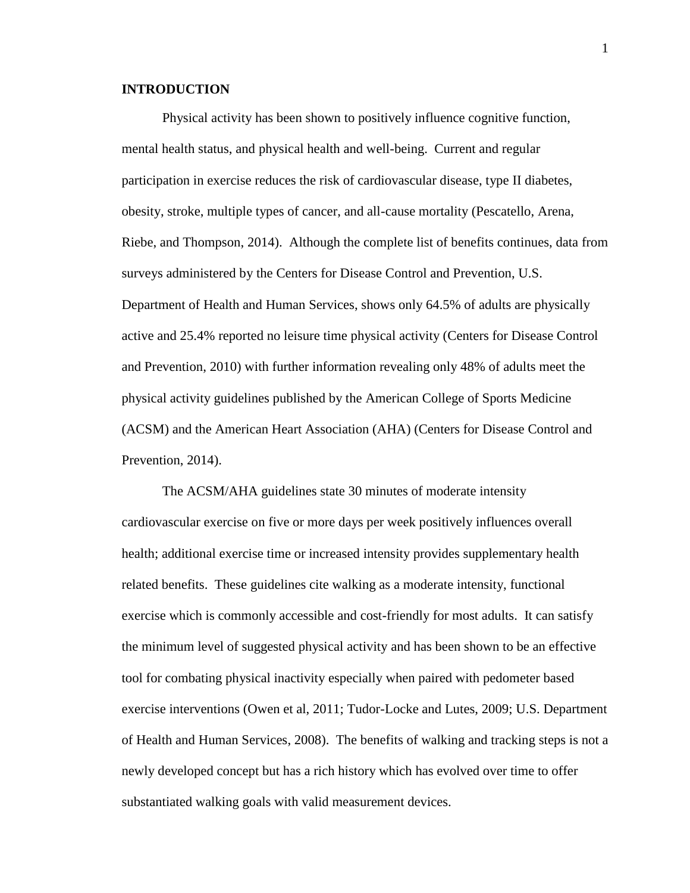### **INTRODUCTION**

Physical activity has been shown to positively influence cognitive function, mental health status, and physical health and well-being. Current and regular participation in exercise reduces the risk of cardiovascular disease, type II diabetes, obesity, stroke, multiple types of cancer, and all-cause mortality (Pescatello, Arena, Riebe, and Thompson, 2014). Although the complete list of benefits continues, data from surveys administered by the Centers for Disease Control and Prevention, U.S. Department of Health and Human Services, shows only 64.5% of adults are physically active and 25.4% reported no leisure time physical activity (Centers for Disease Control and Prevention, 2010) with further information revealing only 48% of adults meet the physical activity guidelines published by the American College of Sports Medicine (ACSM) and the American Heart Association (AHA) (Centers for Disease Control and Prevention, 2014).

The ACSM/AHA guidelines state 30 minutes of moderate intensity cardiovascular exercise on five or more days per week positively influences overall health; additional exercise time or increased intensity provides supplementary health related benefits. These guidelines cite walking as a moderate intensity, functional exercise which is commonly accessible and cost-friendly for most adults. It can satisfy the minimum level of suggested physical activity and has been shown to be an effective tool for combating physical inactivity especially when paired with pedometer based exercise interventions (Owen et al, 2011; Tudor-Locke and Lutes, 2009; U.S. Department of Health and Human Services, 2008). The benefits of walking and tracking steps is not a newly developed concept but has a rich history which has evolved over time to offer substantiated walking goals with valid measurement devices.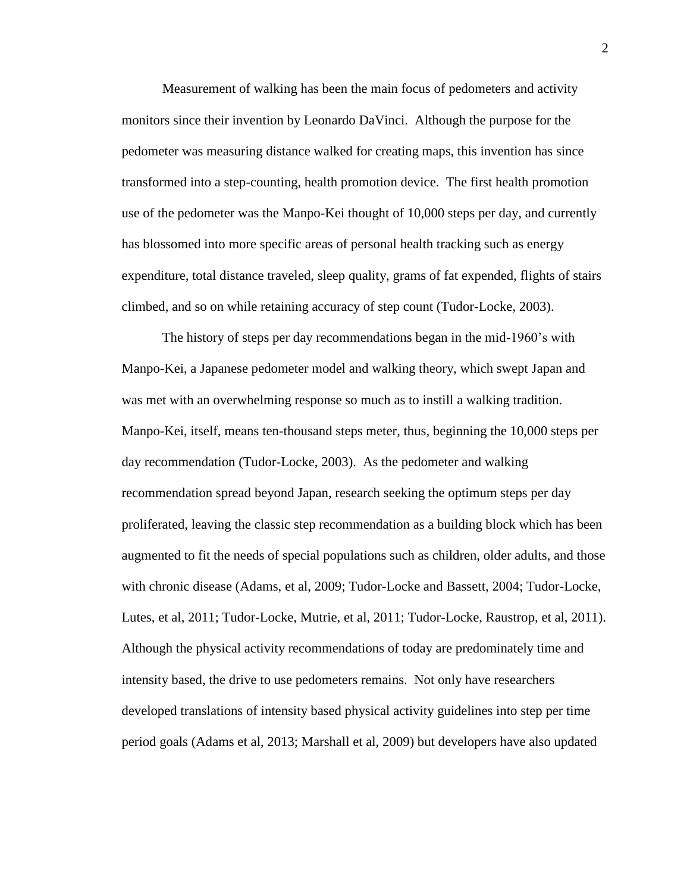Measurement of walking has been the main focus of pedometers and activity monitors since their invention by Leonardo DaVinci. Although the purpose for the pedometer was measuring distance walked for creating maps, this invention has since transformed into a step-counting, health promotion device. The first health promotion use of the pedometer was the Manpo-Kei thought of 10,000 steps per day, and currently has blossomed into more specific areas of personal health tracking such as energy expenditure, total distance traveled, sleep quality, grams of fat expended, flights of stairs climbed, and so on while retaining accuracy of step count (Tudor-Locke, 2003).

The history of steps per day recommendations began in the mid-1960's with Manpo-Kei, a Japanese pedometer model and walking theory, which swept Japan and was met with an overwhelming response so much as to instill a walking tradition. Manpo-Kei, itself, means ten-thousand steps meter, thus, beginning the 10,000 steps per day recommendation (Tudor-Locke, 2003). As the pedometer and walking recommendation spread beyond Japan, research seeking the optimum steps per day proliferated, leaving the classic step recommendation as a building block which has been augmented to fit the needs of special populations such as children, older adults, and those with chronic disease (Adams, et al, 2009; Tudor-Locke and Bassett, 2004; Tudor-Locke, Lutes, et al, 2011; Tudor-Locke, Mutrie, et al, 2011; Tudor-Locke, Raustrop, et al, 2011). Although the physical activity recommendations of today are predominately time and intensity based, the drive to use pedometers remains. Not only have researchers developed translations of intensity based physical activity guidelines into step per time period goals (Adams et al, 2013; Marshall et al, 2009) but developers have also updated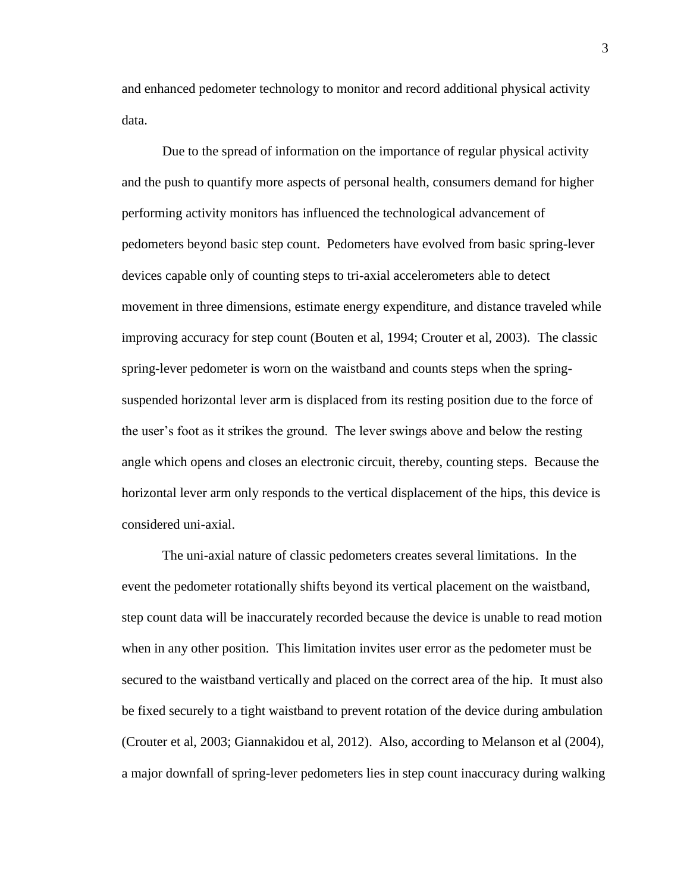and enhanced pedometer technology to monitor and record additional physical activity data.

Due to the spread of information on the importance of regular physical activity and the push to quantify more aspects of personal health, consumers demand for higher performing activity monitors has influenced the technological advancement of pedometers beyond basic step count. Pedometers have evolved from basic spring-lever devices capable only of counting steps to tri-axial accelerometers able to detect movement in three dimensions, estimate energy expenditure, and distance traveled while improving accuracy for step count (Bouten et al, 1994; Crouter et al, 2003). The classic spring-lever pedometer is worn on the waistband and counts steps when the springsuspended horizontal lever arm is displaced from its resting position due to the force of the user's foot as it strikes the ground. The lever swings above and below the resting angle which opens and closes an electronic circuit, thereby, counting steps. Because the horizontal lever arm only responds to the vertical displacement of the hips, this device is considered uni-axial.

The uni-axial nature of classic pedometers creates several limitations. In the event the pedometer rotationally shifts beyond its vertical placement on the waistband, step count data will be inaccurately recorded because the device is unable to read motion when in any other position. This limitation invites user error as the pedometer must be secured to the waistband vertically and placed on the correct area of the hip. It must also be fixed securely to a tight waistband to prevent rotation of the device during ambulation (Crouter et al, 2003; Giannakidou et al, 2012). Also, according to Melanson et al (2004), a major downfall of spring-lever pedometers lies in step count inaccuracy during walking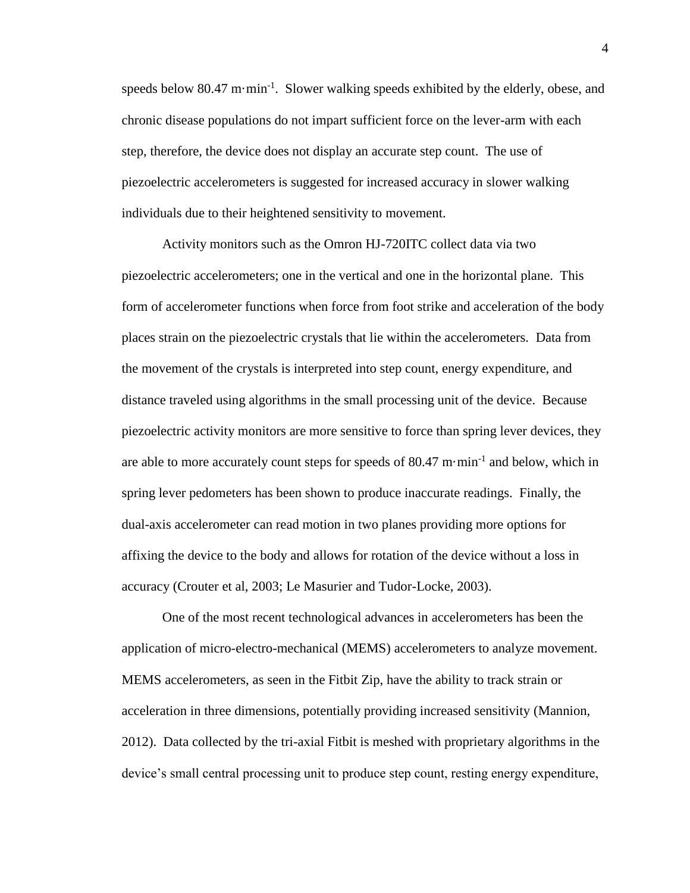speeds below 80.47 m $\cdot$ min<sup>-1</sup>. Slower walking speeds exhibited by the elderly, obese, and chronic disease populations do not impart sufficient force on the lever-arm with each step, therefore, the device does not display an accurate step count. The use of piezoelectric accelerometers is suggested for increased accuracy in slower walking individuals due to their heightened sensitivity to movement.

Activity monitors such as the Omron HJ-720ITC collect data via two piezoelectric accelerometers; one in the vertical and one in the horizontal plane. This form of accelerometer functions when force from foot strike and acceleration of the body places strain on the piezoelectric crystals that lie within the accelerometers. Data from the movement of the crystals is interpreted into step count, energy expenditure, and distance traveled using algorithms in the small processing unit of the device. Because piezoelectric activity monitors are more sensitive to force than spring lever devices, they are able to more accurately count steps for speeds of  $80.47 \text{ m} \cdot \text{min}^{-1}$  and below, which in spring lever pedometers has been shown to produce inaccurate readings. Finally, the dual-axis accelerometer can read motion in two planes providing more options for affixing the device to the body and allows for rotation of the device without a loss in accuracy (Crouter et al, 2003; Le Masurier and Tudor-Locke, 2003).

One of the most recent technological advances in accelerometers has been the application of micro-electro-mechanical (MEMS) accelerometers to analyze movement. MEMS accelerometers, as seen in the Fitbit Zip, have the ability to track strain or acceleration in three dimensions, potentially providing increased sensitivity (Mannion, 2012). Data collected by the tri-axial Fitbit is meshed with proprietary algorithms in the device's small central processing unit to produce step count, resting energy expenditure,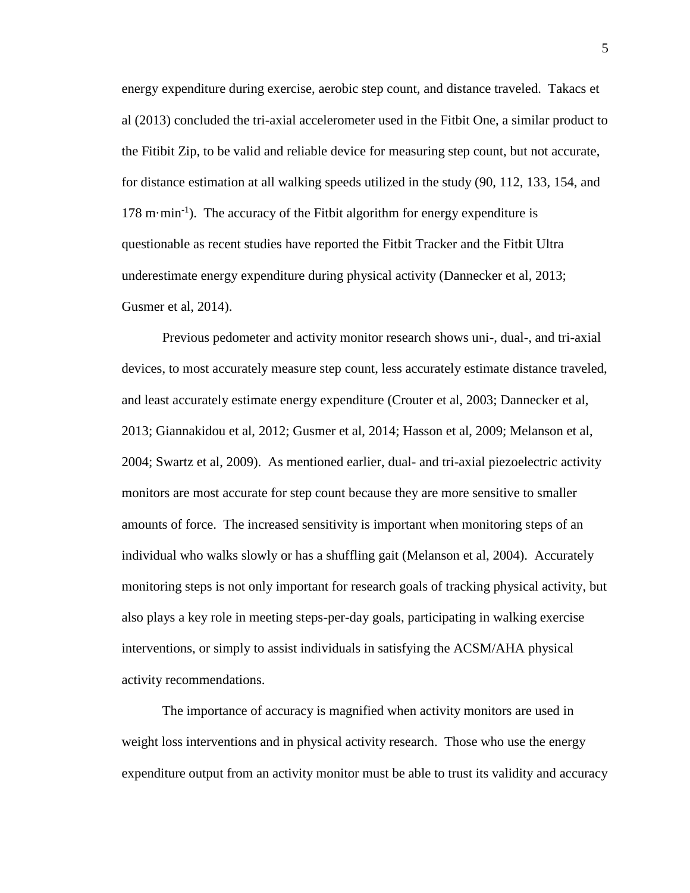energy expenditure during exercise, aerobic step count, and distance traveled. Takacs et al (2013) concluded the tri-axial accelerometer used in the Fitbit One, a similar product to the Fitibit Zip, to be valid and reliable device for measuring step count, but not accurate, for distance estimation at all walking speeds utilized in the study (90, 112, 133, 154, and 178 m·min<sup>-1</sup>). The accuracy of the Fitbit algorithm for energy expenditure is questionable as recent studies have reported the Fitbit Tracker and the Fitbit Ultra underestimate energy expenditure during physical activity (Dannecker et al, 2013; Gusmer et al, 2014).

Previous pedometer and activity monitor research shows uni-, dual-, and tri-axial devices, to most accurately measure step count, less accurately estimate distance traveled, and least accurately estimate energy expenditure (Crouter et al, 2003; Dannecker et al, 2013; Giannakidou et al, 2012; Gusmer et al, 2014; Hasson et al, 2009; Melanson et al, 2004; Swartz et al, 2009). As mentioned earlier, dual- and tri-axial piezoelectric activity monitors are most accurate for step count because they are more sensitive to smaller amounts of force. The increased sensitivity is important when monitoring steps of an individual who walks slowly or has a shuffling gait (Melanson et al, 2004). Accurately monitoring steps is not only important for research goals of tracking physical activity, but also plays a key role in meeting steps-per-day goals, participating in walking exercise interventions, or simply to assist individuals in satisfying the ACSM/AHA physical activity recommendations.

The importance of accuracy is magnified when activity monitors are used in weight loss interventions and in physical activity research. Those who use the energy expenditure output from an activity monitor must be able to trust its validity and accuracy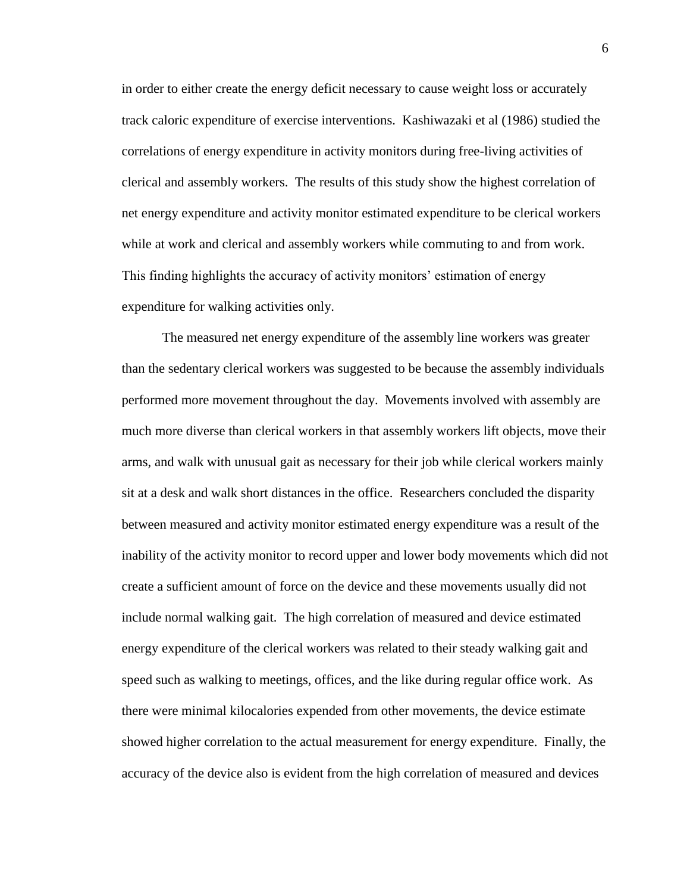in order to either create the energy deficit necessary to cause weight loss or accurately track caloric expenditure of exercise interventions. Kashiwazaki et al (1986) studied the correlations of energy expenditure in activity monitors during free-living activities of clerical and assembly workers. The results of this study show the highest correlation of net energy expenditure and activity monitor estimated expenditure to be clerical workers while at work and clerical and assembly workers while commuting to and from work. This finding highlights the accuracy of activity monitors' estimation of energy expenditure for walking activities only.

The measured net energy expenditure of the assembly line workers was greater than the sedentary clerical workers was suggested to be because the assembly individuals performed more movement throughout the day. Movements involved with assembly are much more diverse than clerical workers in that assembly workers lift objects, move their arms, and walk with unusual gait as necessary for their job while clerical workers mainly sit at a desk and walk short distances in the office. Researchers concluded the disparity between measured and activity monitor estimated energy expenditure was a result of the inability of the activity monitor to record upper and lower body movements which did not create a sufficient amount of force on the device and these movements usually did not include normal walking gait. The high correlation of measured and device estimated energy expenditure of the clerical workers was related to their steady walking gait and speed such as walking to meetings, offices, and the like during regular office work. As there were minimal kilocalories expended from other movements, the device estimate showed higher correlation to the actual measurement for energy expenditure. Finally, the accuracy of the device also is evident from the high correlation of measured and devices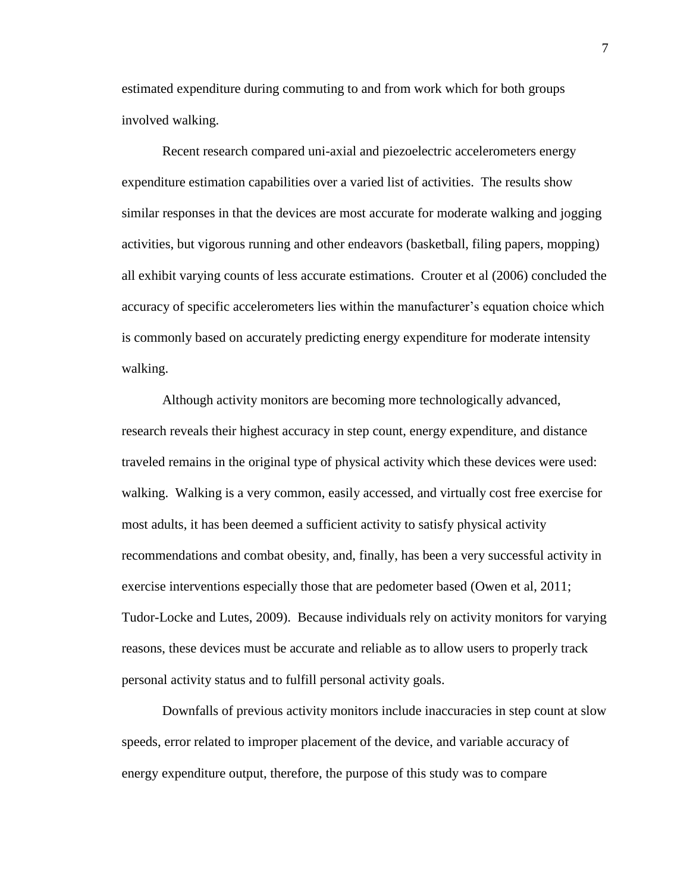estimated expenditure during commuting to and from work which for both groups involved walking.

Recent research compared uni-axial and piezoelectric accelerometers energy expenditure estimation capabilities over a varied list of activities. The results show similar responses in that the devices are most accurate for moderate walking and jogging activities, but vigorous running and other endeavors (basketball, filing papers, mopping) all exhibit varying counts of less accurate estimations. Crouter et al (2006) concluded the accuracy of specific accelerometers lies within the manufacturer's equation choice which is commonly based on accurately predicting energy expenditure for moderate intensity walking.

Although activity monitors are becoming more technologically advanced, research reveals their highest accuracy in step count, energy expenditure, and distance traveled remains in the original type of physical activity which these devices were used: walking. Walking is a very common, easily accessed, and virtually cost free exercise for most adults, it has been deemed a sufficient activity to satisfy physical activity recommendations and combat obesity, and, finally, has been a very successful activity in exercise interventions especially those that are pedometer based (Owen et al, 2011; Tudor-Locke and Lutes, 2009). Because individuals rely on activity monitors for varying reasons, these devices must be accurate and reliable as to allow users to properly track personal activity status and to fulfill personal activity goals.

Downfalls of previous activity monitors include inaccuracies in step count at slow speeds, error related to improper placement of the device, and variable accuracy of energy expenditure output, therefore, the purpose of this study was to compare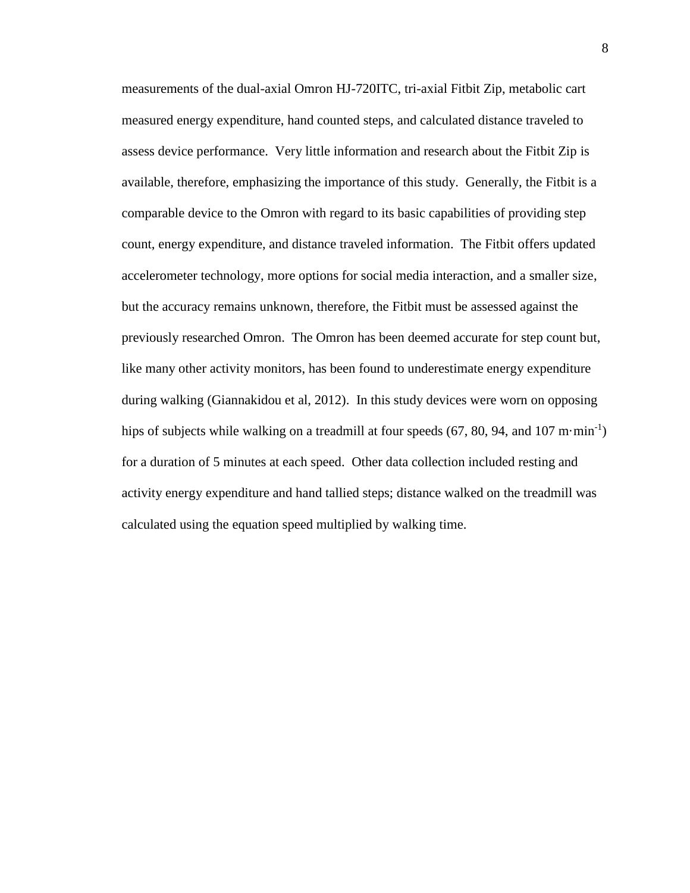measurements of the dual-axial Omron HJ-720ITC, tri-axial Fitbit Zip, metabolic cart measured energy expenditure, hand counted steps, and calculated distance traveled to assess device performance. Very little information and research about the Fitbit Zip is available, therefore, emphasizing the importance of this study. Generally, the Fitbit is a comparable device to the Omron with regard to its basic capabilities of providing step count, energy expenditure, and distance traveled information. The Fitbit offers updated accelerometer technology, more options for social media interaction, and a smaller size, but the accuracy remains unknown, therefore, the Fitbit must be assessed against the previously researched Omron. The Omron has been deemed accurate for step count but, like many other activity monitors, has been found to underestimate energy expenditure during walking (Giannakidou et al, 2012). In this study devices were worn on opposing hips of subjects while walking on a treadmill at four speeds  $(67, 80, 94,$  and  $107 \text{ m} \cdot \text{min}^{-1})$ for a duration of 5 minutes at each speed. Other data collection included resting and activity energy expenditure and hand tallied steps; distance walked on the treadmill was calculated using the equation speed multiplied by walking time.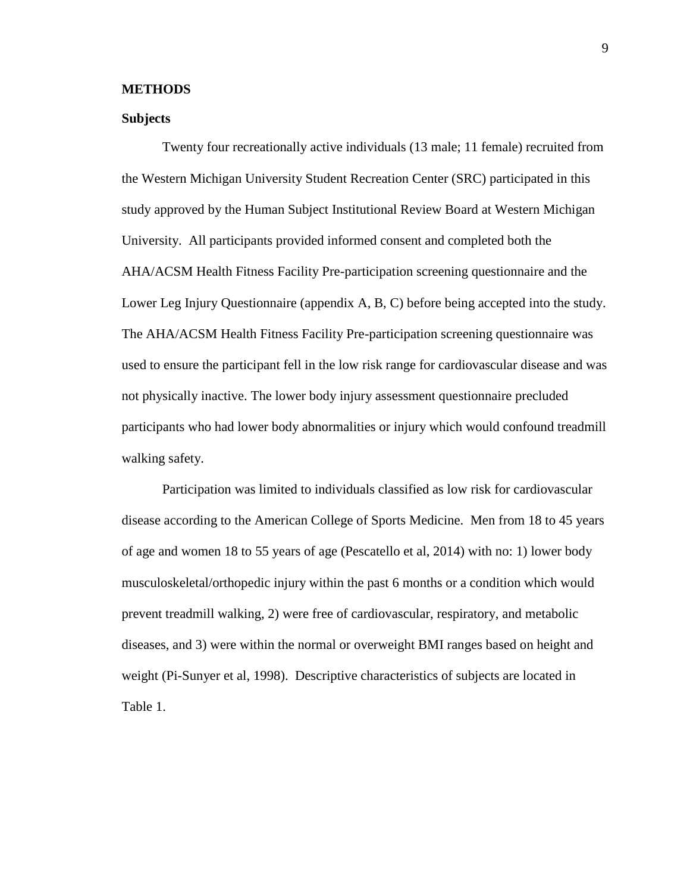#### **METHODS**

#### **Subjects**

Twenty four recreationally active individuals (13 male; 11 female) recruited from the Western Michigan University Student Recreation Center (SRC) participated in this study approved by the Human Subject Institutional Review Board at Western Michigan University. All participants provided informed consent and completed both the AHA/ACSM Health Fitness Facility Pre-participation screening questionnaire and the Lower Leg Injury Questionnaire (appendix A, B, C) before being accepted into the study. The AHA/ACSM Health Fitness Facility Pre-participation screening questionnaire was used to ensure the participant fell in the low risk range for cardiovascular disease and was not physically inactive. The lower body injury assessment questionnaire precluded participants who had lower body abnormalities or injury which would confound treadmill walking safety.

Participation was limited to individuals classified as low risk for cardiovascular disease according to the American College of Sports Medicine. Men from 18 to 45 years of age and women 18 to 55 years of age (Pescatello et al, 2014) with no: 1) lower body musculoskeletal/orthopedic injury within the past 6 months or a condition which would prevent treadmill walking, 2) were free of cardiovascular, respiratory, and metabolic diseases, and 3) were within the normal or overweight BMI ranges based on height and weight (Pi-Sunyer et al, 1998). Descriptive characteristics of subjects are located in Table 1.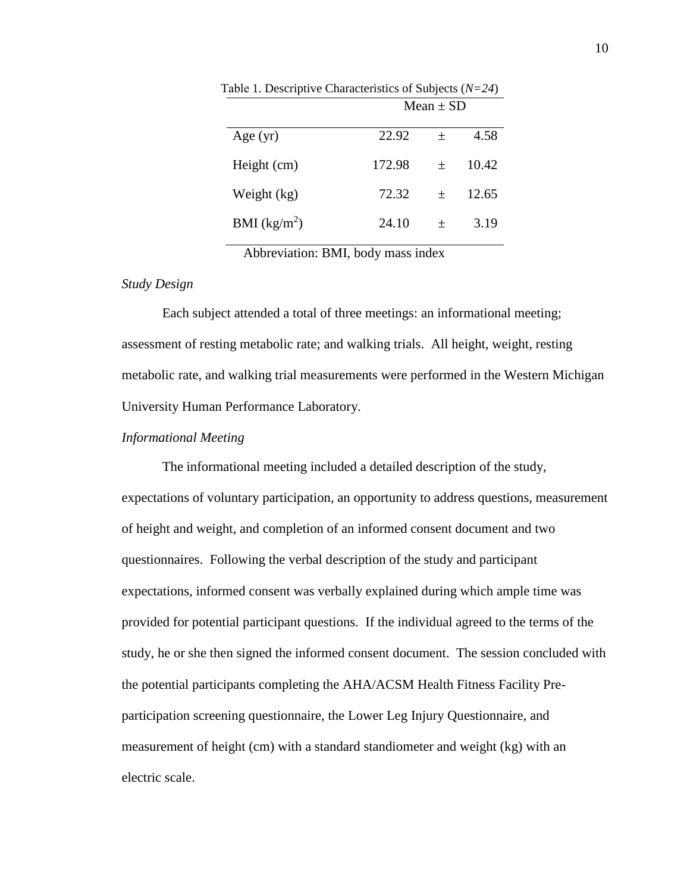| Mean $\pm$ SD |  |  |
|---------------|--|--|
| 4.58          |  |  |
| 10.42         |  |  |
| 12.65         |  |  |
| 3.19          |  |  |
|               |  |  |

Table 1. Descriptive Characteristics of Subjects (*N=24*)

Abbreviation: BMI, body mass index

#### *Study Design*

Each subject attended a total of three meetings: an informational meeting; assessment of resting metabolic rate; and walking trials. All height, weight, resting metabolic rate, and walking trial measurements were performed in the Western Michigan University Human Performance Laboratory.

#### *Informational Meeting*

The informational meeting included a detailed description of the study, expectations of voluntary participation, an opportunity to address questions, measurement of height and weight, and completion of an informed consent document and two questionnaires. Following the verbal description of the study and participant expectations, informed consent was verbally explained during which ample time was provided for potential participant questions. If the individual agreed to the terms of the study, he or she then signed the informed consent document. The session concluded with the potential participants completing the AHA/ACSM Health Fitness Facility Preparticipation screening questionnaire, the Lower Leg Injury Questionnaire, and measurement of height (cm) with a standard standiometer and weight (kg) with an electric scale.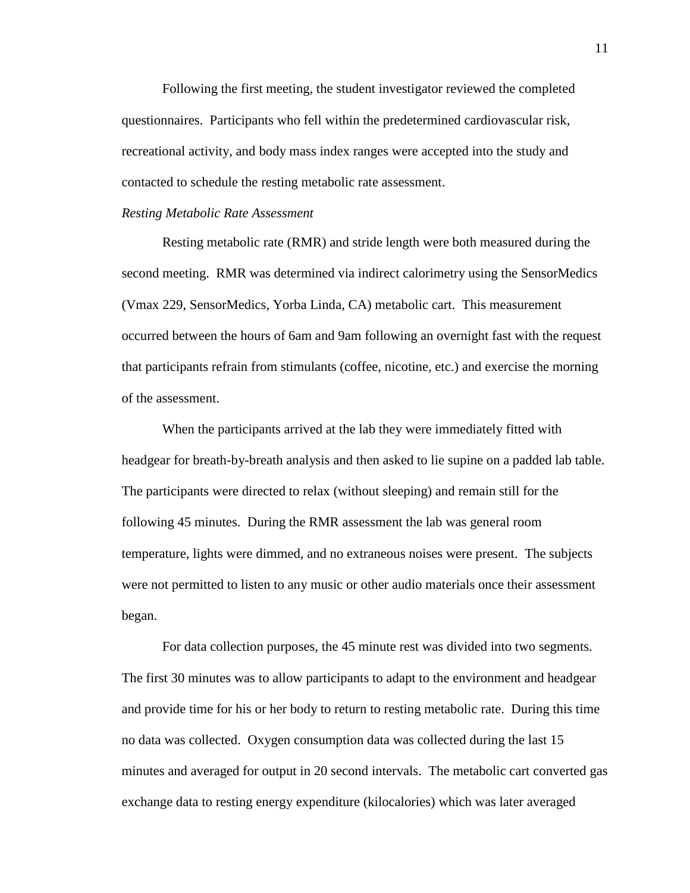Following the first meeting, the student investigator reviewed the completed questionnaires. Participants who fell within the predetermined cardiovascular risk, recreational activity, and body mass index ranges were accepted into the study and contacted to schedule the resting metabolic rate assessment.

#### *Resting Metabolic Rate Assessment*

Resting metabolic rate (RMR) and stride length were both measured during the second meeting. RMR was determined via indirect calorimetry using the SensorMedics (Vmax 229, SensorMedics, Yorba Linda, CA) metabolic cart. This measurement occurred between the hours of 6am and 9am following an overnight fast with the request that participants refrain from stimulants (coffee, nicotine, etc.) and exercise the morning of the assessment.

When the participants arrived at the lab they were immediately fitted with headgear for breath-by-breath analysis and then asked to lie supine on a padded lab table. The participants were directed to relax (without sleeping) and remain still for the following 45 minutes. During the RMR assessment the lab was general room temperature, lights were dimmed, and no extraneous noises were present. The subjects were not permitted to listen to any music or other audio materials once their assessment began.

For data collection purposes, the 45 minute rest was divided into two segments. The first 30 minutes was to allow participants to adapt to the environment and headgear and provide time for his or her body to return to resting metabolic rate. During this time no data was collected. Oxygen consumption data was collected during the last 15 minutes and averaged for output in 20 second intervals. The metabolic cart converted gas exchange data to resting energy expenditure (kilocalories) which was later averaged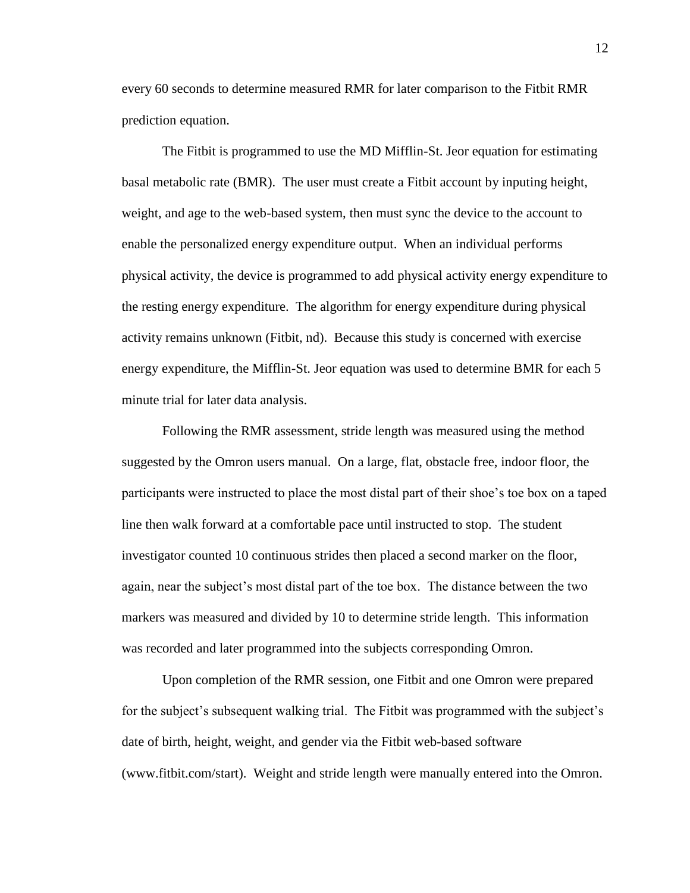every 60 seconds to determine measured RMR for later comparison to the Fitbit RMR prediction equation.

The Fitbit is programmed to use the MD Mifflin-St. Jeor equation for estimating basal metabolic rate (BMR). The user must create a Fitbit account by inputing height, weight, and age to the web-based system, then must sync the device to the account to enable the personalized energy expenditure output. When an individual performs physical activity, the device is programmed to add physical activity energy expenditure to the resting energy expenditure. The algorithm for energy expenditure during physical activity remains unknown (Fitbit, nd). Because this study is concerned with exercise energy expenditure, the Mifflin-St. Jeor equation was used to determine BMR for each 5 minute trial for later data analysis.

Following the RMR assessment, stride length was measured using the method suggested by the Omron users manual. On a large, flat, obstacle free, indoor floor, the participants were instructed to place the most distal part of their shoe's toe box on a taped line then walk forward at a comfortable pace until instructed to stop. The student investigator counted 10 continuous strides then placed a second marker on the floor, again, near the subject's most distal part of the toe box. The distance between the two markers was measured and divided by 10 to determine stride length. This information was recorded and later programmed into the subjects corresponding Omron.

Upon completion of the RMR session, one Fitbit and one Omron were prepared for the subject's subsequent walking trial. The Fitbit was programmed with the subject's date of birth, height, weight, and gender via the Fitbit web-based software (www.fitbit.com/start). Weight and stride length were manually entered into the Omron.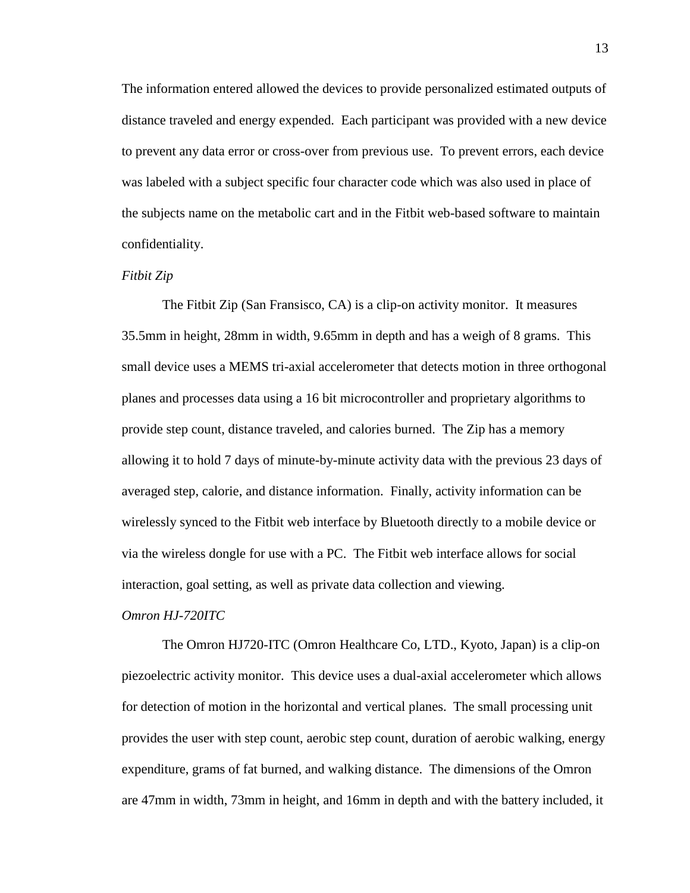The information entered allowed the devices to provide personalized estimated outputs of distance traveled and energy expended. Each participant was provided with a new device to prevent any data error or cross-over from previous use. To prevent errors, each device was labeled with a subject specific four character code which was also used in place of the subjects name on the metabolic cart and in the Fitbit web-based software to maintain confidentiality.

#### *Fitbit Zip*

The Fitbit Zip (San Fransisco, CA) is a clip-on activity monitor. It measures 35.5mm in height, 28mm in width, 9.65mm in depth and has a weigh of 8 grams. This small device uses a MEMS tri-axial accelerometer that detects motion in three orthogonal planes and processes data using a 16 bit microcontroller and proprietary algorithms to provide step count, distance traveled, and calories burned. The Zip has a memory allowing it to hold 7 days of minute-by-minute activity data with the previous 23 days of averaged step, calorie, and distance information. Finally, activity information can be wirelessly synced to the Fitbit web interface by Bluetooth directly to a mobile device or via the wireless dongle for use with a PC. The Fitbit web interface allows for social interaction, goal setting, as well as private data collection and viewing.

#### *Omron HJ-720ITC*

The Omron HJ720-ITC (Omron Healthcare Co, LTD., Kyoto, Japan) is a clip-on piezoelectric activity monitor. This device uses a dual-axial accelerometer which allows for detection of motion in the horizontal and vertical planes. The small processing unit provides the user with step count, aerobic step count, duration of aerobic walking, energy expenditure, grams of fat burned, and walking distance. The dimensions of the Omron are 47mm in width, 73mm in height, and 16mm in depth and with the battery included, it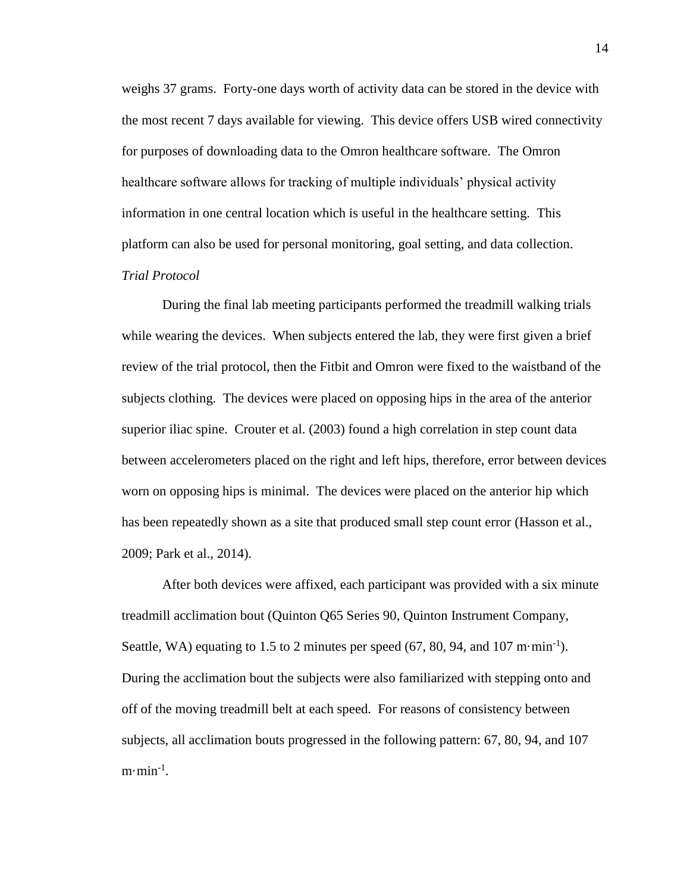weighs 37 grams. Forty-one days worth of activity data can be stored in the device with the most recent 7 days available for viewing. This device offers USB wired connectivity for purposes of downloading data to the Omron healthcare software. The Omron healthcare software allows for tracking of multiple individuals' physical activity information in one central location which is useful in the healthcare setting. This platform can also be used for personal monitoring, goal setting, and data collection. *Trial Protocol* 

During the final lab meeting participants performed the treadmill walking trials while wearing the devices. When subjects entered the lab, they were first given a brief review of the trial protocol, then the Fitbit and Omron were fixed to the waistband of the subjects clothing. The devices were placed on opposing hips in the area of the anterior superior iliac spine. Crouter et al. (2003) found a high correlation in step count data between accelerometers placed on the right and left hips, therefore, error between devices worn on opposing hips is minimal. The devices were placed on the anterior hip which has been repeatedly shown as a site that produced small step count error (Hasson et al., 2009; Park et al., 2014).

After both devices were affixed, each participant was provided with a six minute treadmill acclimation bout (Quinton Q65 Series 90, Quinton Instrument Company, Seattle, WA) equating to 1.5 to 2 minutes per speed (67, 80, 94, and 107 m $\cdot$ min<sup>-1</sup>). During the acclimation bout the subjects were also familiarized with stepping onto and off of the moving treadmill belt at each speed. For reasons of consistency between subjects, all acclimation bouts progressed in the following pattern: 67, 80, 94, and 107  $m \cdot min^{-1}$ .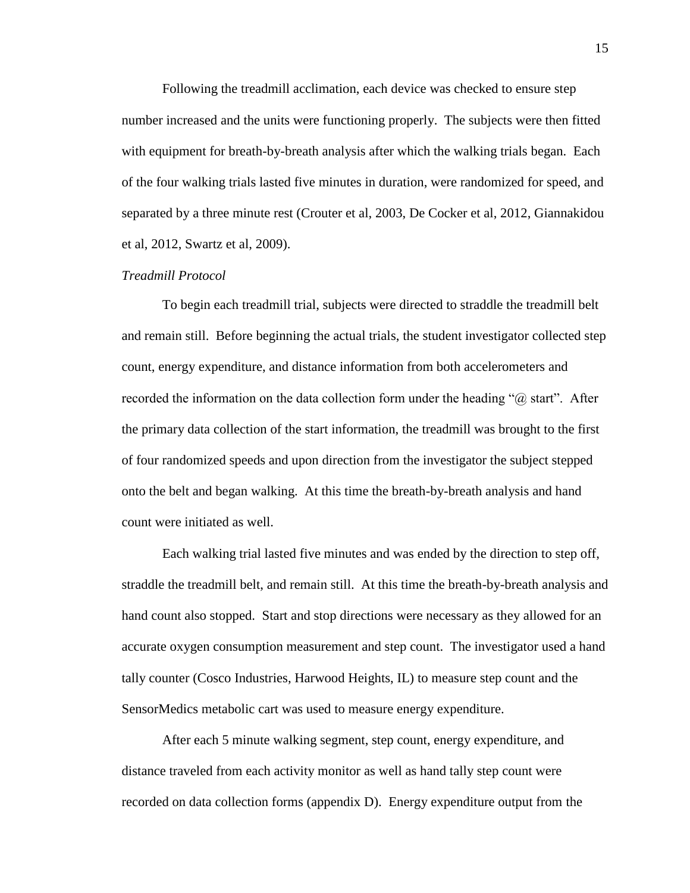Following the treadmill acclimation, each device was checked to ensure step number increased and the units were functioning properly. The subjects were then fitted with equipment for breath-by-breath analysis after which the walking trials began. Each of the four walking trials lasted five minutes in duration, were randomized for speed, and separated by a three minute rest (Crouter et al, 2003, De Cocker et al, 2012, Giannakidou et al, 2012, Swartz et al, 2009).

#### *Treadmill Protocol*

To begin each treadmill trial, subjects were directed to straddle the treadmill belt and remain still. Before beginning the actual trials, the student investigator collected step count, energy expenditure, and distance information from both accelerometers and recorded the information on the data collection form under the heading " $\omega$  start". After the primary data collection of the start information, the treadmill was brought to the first of four randomized speeds and upon direction from the investigator the subject stepped onto the belt and began walking. At this time the breath-by-breath analysis and hand count were initiated as well.

Each walking trial lasted five minutes and was ended by the direction to step off, straddle the treadmill belt, and remain still. At this time the breath-by-breath analysis and hand count also stopped. Start and stop directions were necessary as they allowed for an accurate oxygen consumption measurement and step count. The investigator used a hand tally counter (Cosco Industries, Harwood Heights, IL) to measure step count and the SensorMedics metabolic cart was used to measure energy expenditure.

After each 5 minute walking segment, step count, energy expenditure, and distance traveled from each activity monitor as well as hand tally step count were recorded on data collection forms (appendix D). Energy expenditure output from the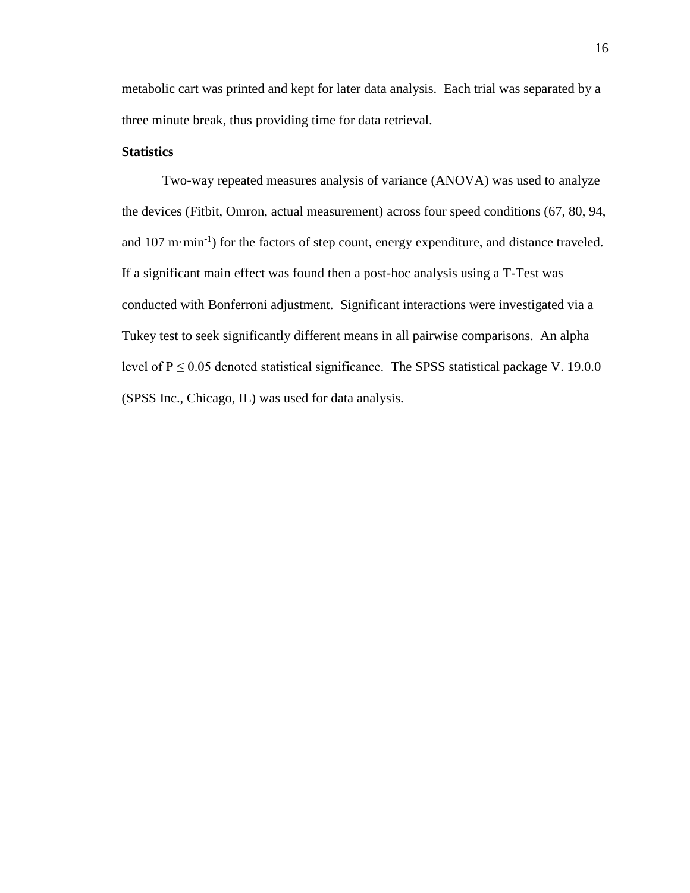metabolic cart was printed and kept for later data analysis. Each trial was separated by a three minute break, thus providing time for data retrieval.

#### **Statistics**

Two-way repeated measures analysis of variance (ANOVA) was used to analyze the devices (Fitbit, Omron, actual measurement) across four speed conditions (67, 80, 94, and  $107 \text{ m}\cdot\text{min}^{-1}$  for the factors of step count, energy expenditure, and distance traveled. If a significant main effect was found then a post-hoc analysis using a T-Test was conducted with Bonferroni adjustment. Significant interactions were investigated via a Tukey test to seek significantly different means in all pairwise comparisons. An alpha level of  $P \le 0.05$  denoted statistical significance. The SPSS statistical package V. 19.0.0 (SPSS Inc., Chicago, IL) was used for data analysis.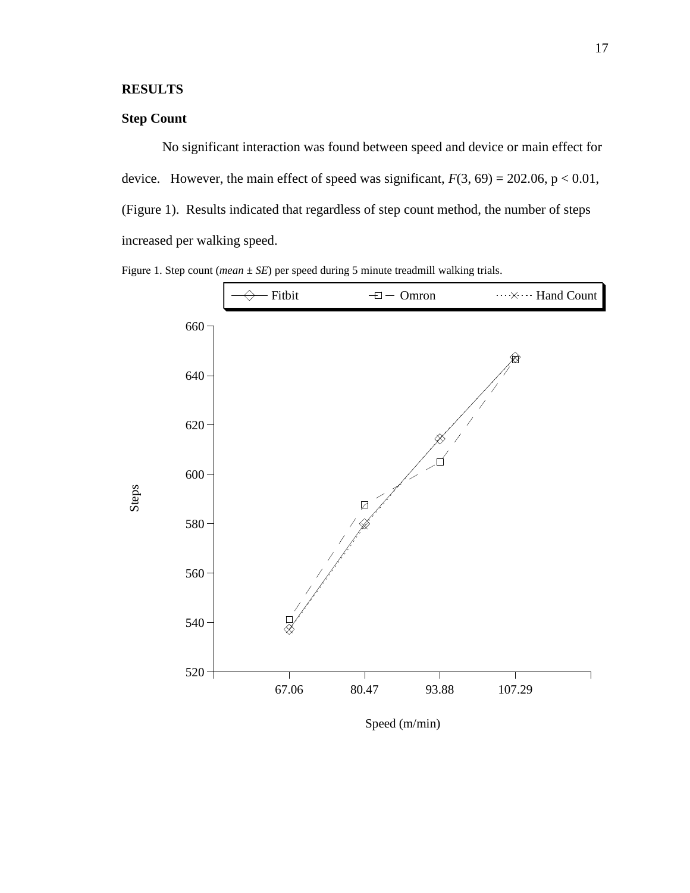## **RESULTS**

## **Step Count**

No significant interaction was found between speed and device or main effect for device. However, the main effect of speed was significant,  $F(3, 69) = 202.06$ ,  $p < 0.01$ , (Figure 1). Results indicated that regardless of step count method, the number of steps increased per walking speed.





Speed (m/min)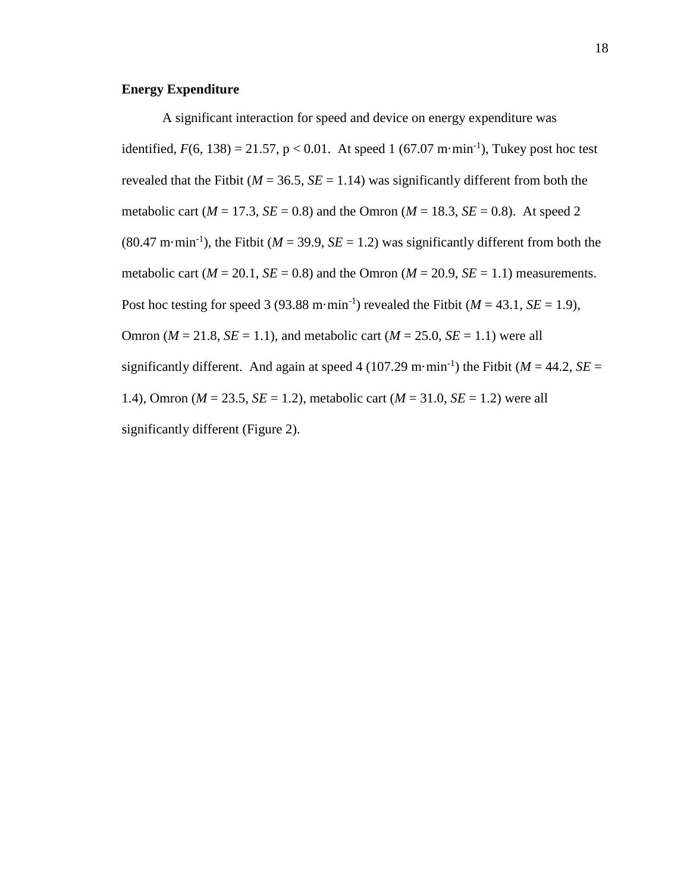### **Energy Expenditure**

A significant interaction for speed and device on energy expenditure was identified,  $F(6, 138) = 21.57$ ,  $p < 0.01$ . At speed 1 (67.07 m·min<sup>-1</sup>), Tukey post hoc test revealed that the Fitbit ( $M = 36.5$ ,  $SE = 1.14$ ) was significantly different from both the metabolic cart ( $M = 17.3$ ,  $SE = 0.8$ ) and the Omron ( $M = 18.3$ ,  $SE = 0.8$ ). At speed 2 (80.47 m·min<sup>-1</sup>), the Fitbit ( $M = 39.9$ ,  $SE = 1.2$ ) was significantly different from both the metabolic cart ( $M = 20.1$ ,  $SE = 0.8$ ) and the Omron ( $M = 20.9$ ,  $SE = 1.1$ ) measurements. Post hoc testing for speed 3 (93.88 m·min<sup>-1</sup>) revealed the Fitbit ( $M = 43.1$ ,  $SE = 1.9$ ), Omron ( $M = 21.8$ ,  $SE = 1.1$ ), and metabolic cart ( $M = 25.0$ ,  $SE = 1.1$ ) were all significantly different. And again at speed 4 (107.29 m·min<sup>-1</sup>) the Fitbit ( $M = 44.2$ ,  $SE =$ 1.4), Omron (*M* = 23.5, *SE* = 1.2), metabolic cart (*M* = 31.0, *SE* = 1.2) were all significantly different (Figure 2).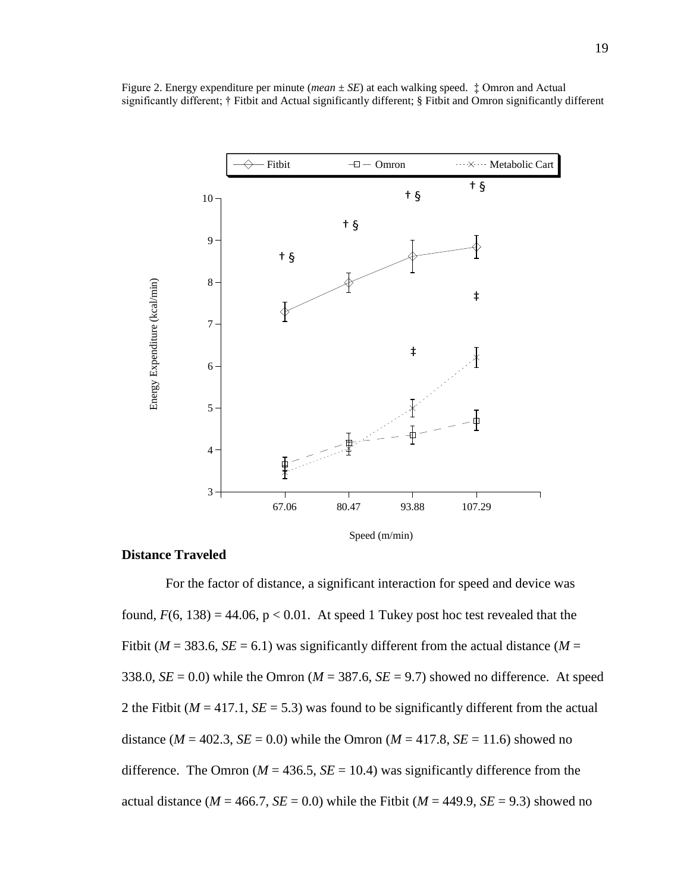

Figure 2. Energy expenditure per minute (*mean ± SE*) at each walking speed. ‡ Omron and Actual significantly different; † Fitbit and Actual significantly different; § Fitbit and Omron significantly different

#### **Distance Traveled**

For the factor of distance, a significant interaction for speed and device was found,  $F(6, 138) = 44.06$ ,  $p < 0.01$ . At speed 1 Tukey post hoc test revealed that the Fitbit ( $M = 383.6$ ,  $SE = 6.1$ ) was significantly different from the actual distance ( $M =$ 338.0,  $SE = 0.0$ ) while the Omron ( $M = 387.6$ ,  $SE = 9.7$ ) showed no difference. At speed 2 the Fitbit ( $M = 417.1$ ,  $SE = 5.3$ ) was found to be significantly different from the actual distance ( $M = 402.3$ ,  $SE = 0.0$ ) while the Omron ( $M = 417.8$ ,  $SE = 11.6$ ) showed no difference. The Omron ( $M = 436.5$ ,  $SE = 10.4$ ) was significantly difference from the actual distance ( $M = 466.7$ ,  $SE = 0.0$ ) while the Fitbit ( $M = 449.9$ ,  $SE = 9.3$ ) showed no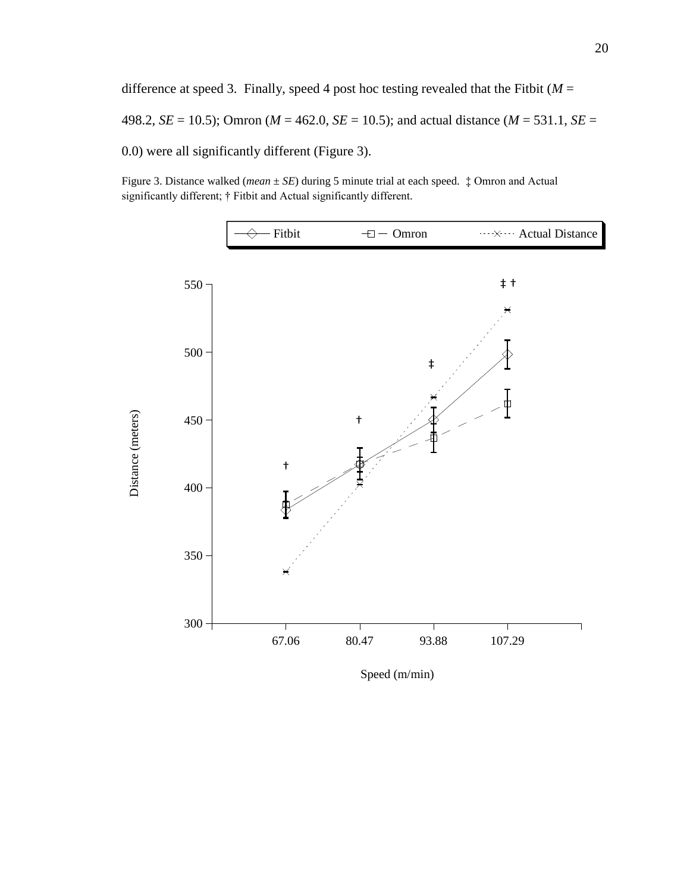difference at speed 3. Finally, speed 4 post hoc testing revealed that the Fitbit  $(M =$ 498.2, *SE* = 10.5); Omron (*M* = 462.0, *SE* = 10.5); and actual distance (*M* = 531.1, *SE* = 0.0) were all significantly different (Figure 3).

Figure 3. Distance walked (*mean ± SE*) during 5 minute trial at each speed. ‡ Omron and Actual significantly different; † Fitbit and Actual significantly different.



Speed (m/min)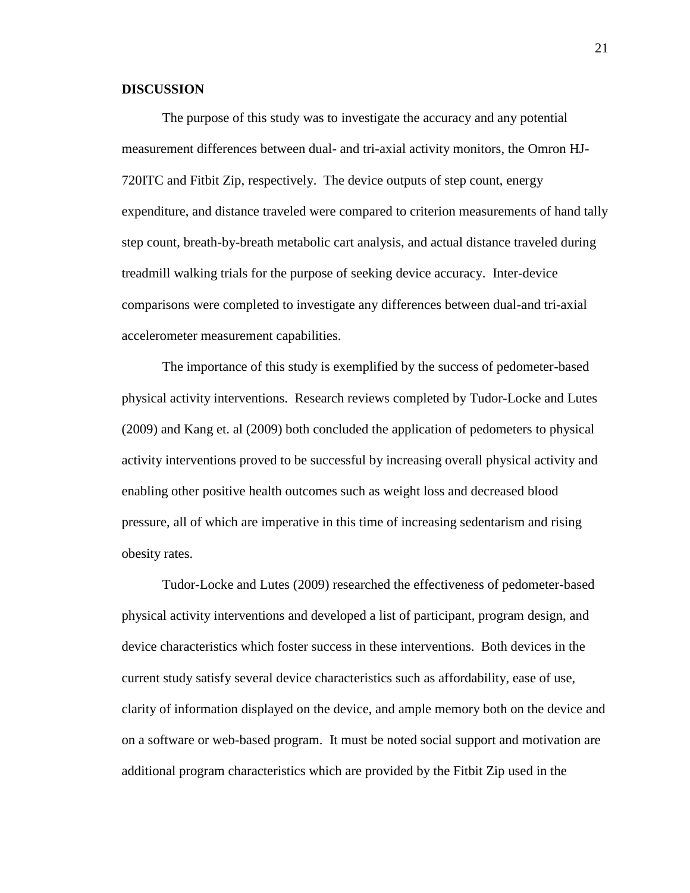#### **DISCUSSION**

The purpose of this study was to investigate the accuracy and any potential measurement differences between dual- and tri-axial activity monitors, the Omron HJ-720ITC and Fitbit Zip, respectively. The device outputs of step count, energy expenditure, and distance traveled were compared to criterion measurements of hand tally step count, breath-by-breath metabolic cart analysis, and actual distance traveled during treadmill walking trials for the purpose of seeking device accuracy. Inter-device comparisons were completed to investigate any differences between dual-and tri-axial accelerometer measurement capabilities.

The importance of this study is exemplified by the success of pedometer-based physical activity interventions. Research reviews completed by Tudor-Locke and Lutes (2009) and Kang et. al (2009) both concluded the application of pedometers to physical activity interventions proved to be successful by increasing overall physical activity and enabling other positive health outcomes such as weight loss and decreased blood pressure, all of which are imperative in this time of increasing sedentarism and rising obesity rates.

Tudor-Locke and Lutes (2009) researched the effectiveness of pedometer-based physical activity interventions and developed a list of participant, program design, and device characteristics which foster success in these interventions. Both devices in the current study satisfy several device characteristics such as affordability, ease of use, clarity of information displayed on the device, and ample memory both on the device and on a software or web-based program. It must be noted social support and motivation are additional program characteristics which are provided by the Fitbit Zip used in the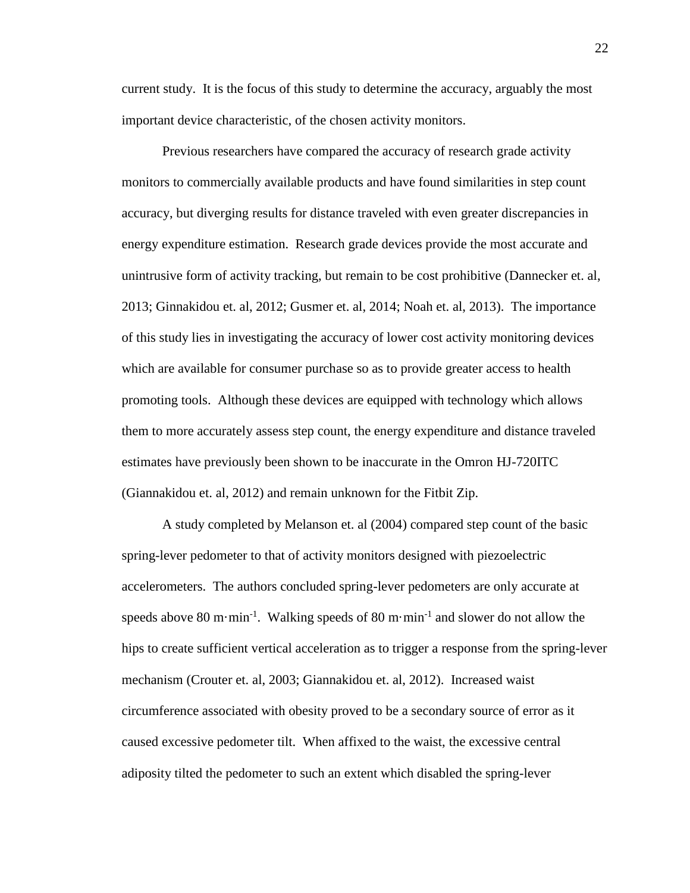current study. It is the focus of this study to determine the accuracy, arguably the most important device characteristic, of the chosen activity monitors.

Previous researchers have compared the accuracy of research grade activity monitors to commercially available products and have found similarities in step count accuracy, but diverging results for distance traveled with even greater discrepancies in energy expenditure estimation. Research grade devices provide the most accurate and unintrusive form of activity tracking, but remain to be cost prohibitive (Dannecker et. al, 2013; Ginnakidou et. al, 2012; Gusmer et. al, 2014; Noah et. al, 2013). The importance of this study lies in investigating the accuracy of lower cost activity monitoring devices which are available for consumer purchase so as to provide greater access to health promoting tools. Although these devices are equipped with technology which allows them to more accurately assess step count, the energy expenditure and distance traveled estimates have previously been shown to be inaccurate in the Omron HJ-720ITC (Giannakidou et. al, 2012) and remain unknown for the Fitbit Zip.

A study completed by Melanson et. al (2004) compared step count of the basic spring-lever pedometer to that of activity monitors designed with piezoelectric accelerometers. The authors concluded spring-lever pedometers are only accurate at speeds above 80 m·min<sup>-1</sup>. Walking speeds of 80 m·min<sup>-1</sup> and slower do not allow the hips to create sufficient vertical acceleration as to trigger a response from the spring-lever mechanism (Crouter et. al, 2003; Giannakidou et. al, 2012). Increased waist circumference associated with obesity proved to be a secondary source of error as it caused excessive pedometer tilt. When affixed to the waist, the excessive central adiposity tilted the pedometer to such an extent which disabled the spring-lever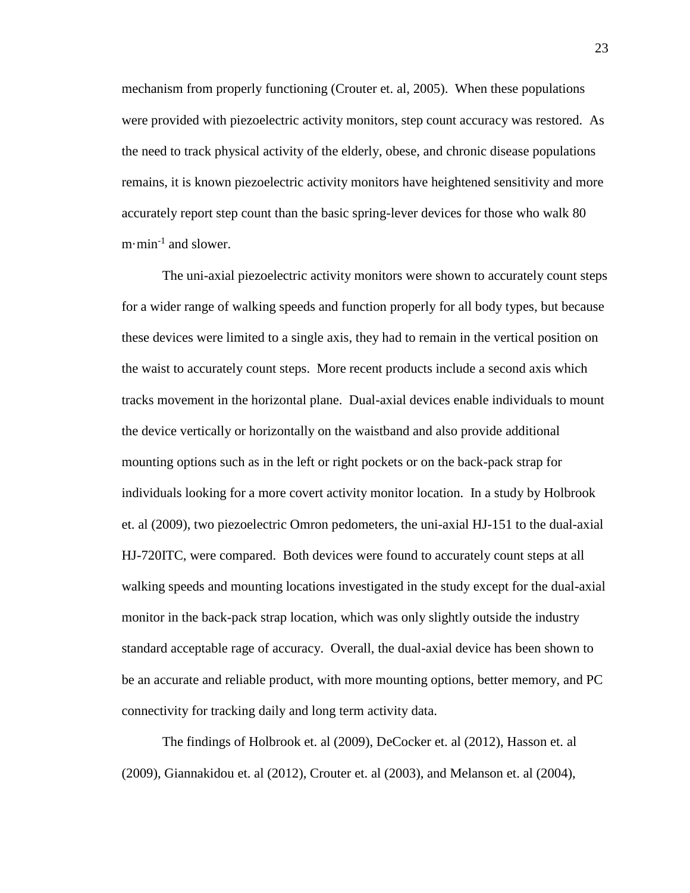mechanism from properly functioning (Crouter et. al, 2005). When these populations were provided with piezoelectric activity monitors, step count accuracy was restored. As the need to track physical activity of the elderly, obese, and chronic disease populations remains, it is known piezoelectric activity monitors have heightened sensitivity and more accurately report step count than the basic spring-lever devices for those who walk 80  $m \cdot min^{-1}$  and slower.

The uni-axial piezoelectric activity monitors were shown to accurately count steps for a wider range of walking speeds and function properly for all body types, but because these devices were limited to a single axis, they had to remain in the vertical position on the waist to accurately count steps. More recent products include a second axis which tracks movement in the horizontal plane. Dual-axial devices enable individuals to mount the device vertically or horizontally on the waistband and also provide additional mounting options such as in the left or right pockets or on the back-pack strap for individuals looking for a more covert activity monitor location. In a study by Holbrook et. al (2009), two piezoelectric Omron pedometers, the uni-axial HJ-151 to the dual-axial HJ-720ITC, were compared. Both devices were found to accurately count steps at all walking speeds and mounting locations investigated in the study except for the dual-axial monitor in the back-pack strap location, which was only slightly outside the industry standard acceptable rage of accuracy. Overall, the dual-axial device has been shown to be an accurate and reliable product, with more mounting options, better memory, and PC connectivity for tracking daily and long term activity data.

The findings of Holbrook et. al (2009), DeCocker et. al (2012), Hasson et. al (2009), Giannakidou et. al (2012), Crouter et. al (2003), and Melanson et. al (2004),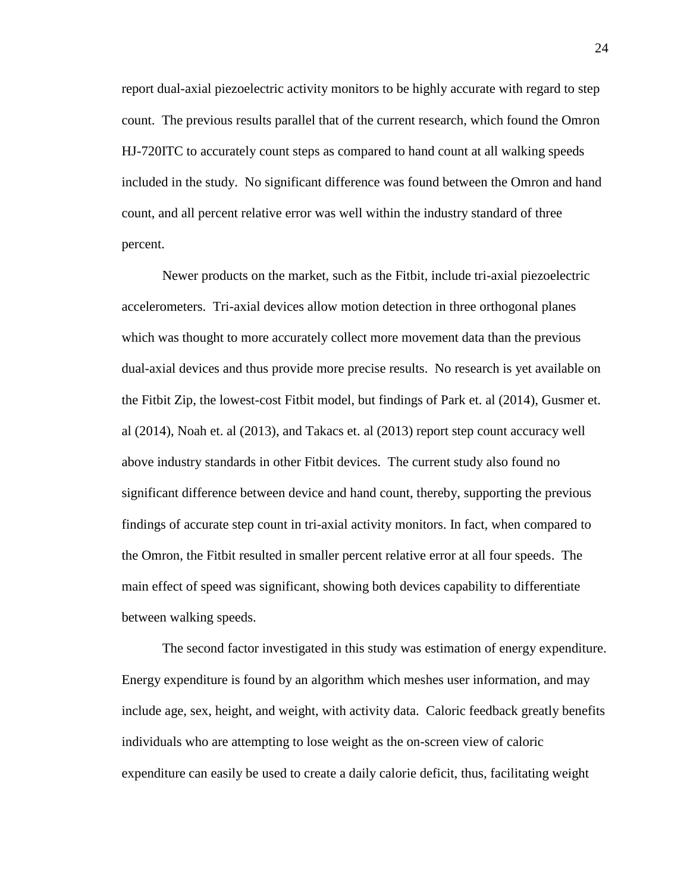report dual-axial piezoelectric activity monitors to be highly accurate with regard to step count. The previous results parallel that of the current research, which found the Omron HJ-720ITC to accurately count steps as compared to hand count at all walking speeds included in the study. No significant difference was found between the Omron and hand count, and all percent relative error was well within the industry standard of three percent.

Newer products on the market, such as the Fitbit, include tri-axial piezoelectric accelerometers. Tri-axial devices allow motion detection in three orthogonal planes which was thought to more accurately collect more movement data than the previous dual-axial devices and thus provide more precise results. No research is yet available on the Fitbit Zip, the lowest-cost Fitbit model, but findings of Park et. al (2014), Gusmer et. al (2014), Noah et. al (2013), and Takacs et. al (2013) report step count accuracy well above industry standards in other Fitbit devices. The current study also found no significant difference between device and hand count, thereby, supporting the previous findings of accurate step count in tri-axial activity monitors. In fact, when compared to the Omron, the Fitbit resulted in smaller percent relative error at all four speeds. The main effect of speed was significant, showing both devices capability to differentiate between walking speeds.

The second factor investigated in this study was estimation of energy expenditure. Energy expenditure is found by an algorithm which meshes user information, and may include age, sex, height, and weight, with activity data. Caloric feedback greatly benefits individuals who are attempting to lose weight as the on-screen view of caloric expenditure can easily be used to create a daily calorie deficit, thus, facilitating weight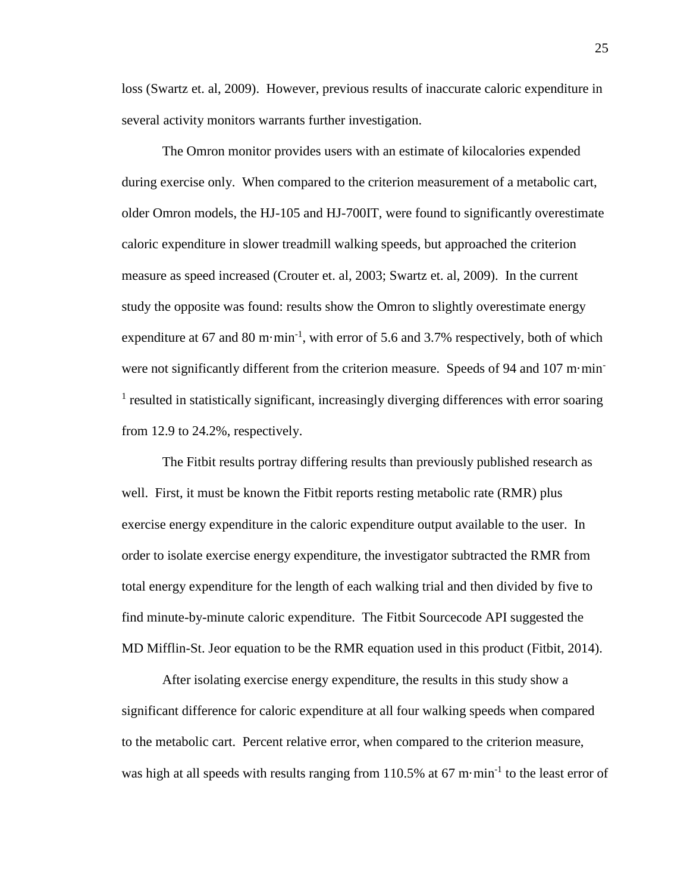loss (Swartz et. al, 2009). However, previous results of inaccurate caloric expenditure in several activity monitors warrants further investigation.

The Omron monitor provides users with an estimate of kilocalories expended during exercise only. When compared to the criterion measurement of a metabolic cart, older Omron models, the HJ-105 and HJ-700IT, were found to significantly overestimate caloric expenditure in slower treadmill walking speeds, but approached the criterion measure as speed increased (Crouter et. al, 2003; Swartz et. al, 2009). In the current study the opposite was found: results show the Omron to slightly overestimate energy expenditure at 67 and 80 m $\cdot$ min<sup>-1</sup>, with error of 5.6 and 3.7% respectively, both of which were not significantly different from the criterion measure. Speeds of 94 and 107 m·min-<sup>1</sup> resulted in statistically significant, increasingly diverging differences with error soaring from 12.9 to 24.2%, respectively.

The Fitbit results portray differing results than previously published research as well. First, it must be known the Fitbit reports resting metabolic rate (RMR) plus exercise energy expenditure in the caloric expenditure output available to the user. In order to isolate exercise energy expenditure, the investigator subtracted the RMR from total energy expenditure for the length of each walking trial and then divided by five to find minute-by-minute caloric expenditure. The Fitbit Sourcecode API suggested the MD Mifflin-St. Jeor equation to be the RMR equation used in this product (Fitbit, 2014).

After isolating exercise energy expenditure, the results in this study show a significant difference for caloric expenditure at all four walking speeds when compared to the metabolic cart. Percent relative error, when compared to the criterion measure, was high at all speeds with results ranging from  $110.5\%$  at 67 m·min<sup>-1</sup> to the least error of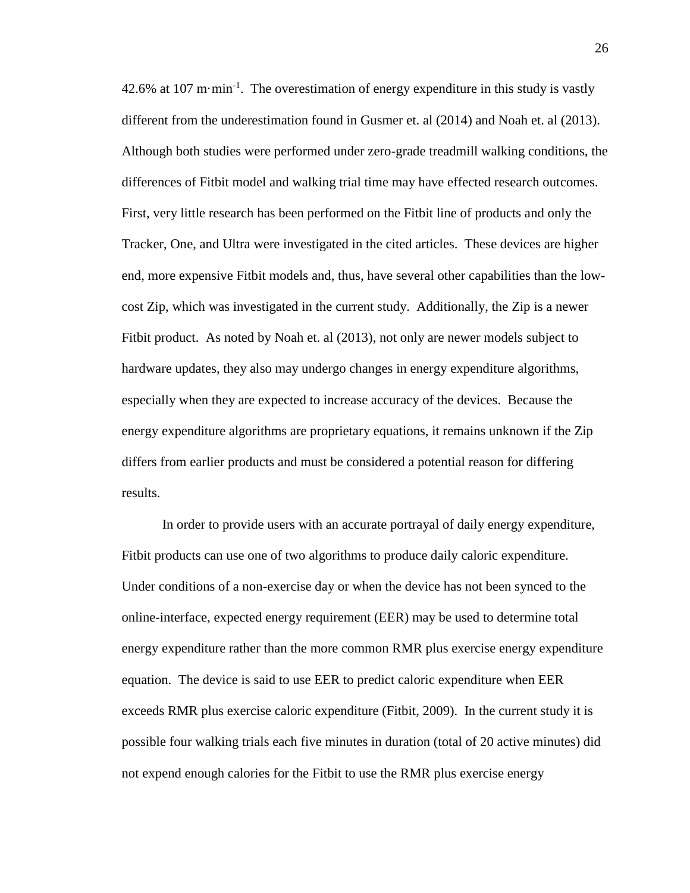42.6% at 107 m $\cdot$ min<sup>-1</sup>. The overestimation of energy expenditure in this study is vastly different from the underestimation found in Gusmer et. al (2014) and Noah et. al (2013). Although both studies were performed under zero-grade treadmill walking conditions, the differences of Fitbit model and walking trial time may have effected research outcomes. First, very little research has been performed on the Fitbit line of products and only the Tracker, One, and Ultra were investigated in the cited articles. These devices are higher end, more expensive Fitbit models and, thus, have several other capabilities than the lowcost Zip, which was investigated in the current study. Additionally, the Zip is a newer Fitbit product. As noted by Noah et. al (2013), not only are newer models subject to hardware updates, they also may undergo changes in energy expenditure algorithms, especially when they are expected to increase accuracy of the devices. Because the energy expenditure algorithms are proprietary equations, it remains unknown if the Zip differs from earlier products and must be considered a potential reason for differing results.

In order to provide users with an accurate portrayal of daily energy expenditure, Fitbit products can use one of two algorithms to produce daily caloric expenditure. Under conditions of a non-exercise day or when the device has not been synced to the online-interface, expected energy requirement (EER) may be used to determine total energy expenditure rather than the more common RMR plus exercise energy expenditure equation. The device is said to use EER to predict caloric expenditure when EER exceeds RMR plus exercise caloric expenditure (Fitbit, 2009). In the current study it is possible four walking trials each five minutes in duration (total of 20 active minutes) did not expend enough calories for the Fitbit to use the RMR plus exercise energy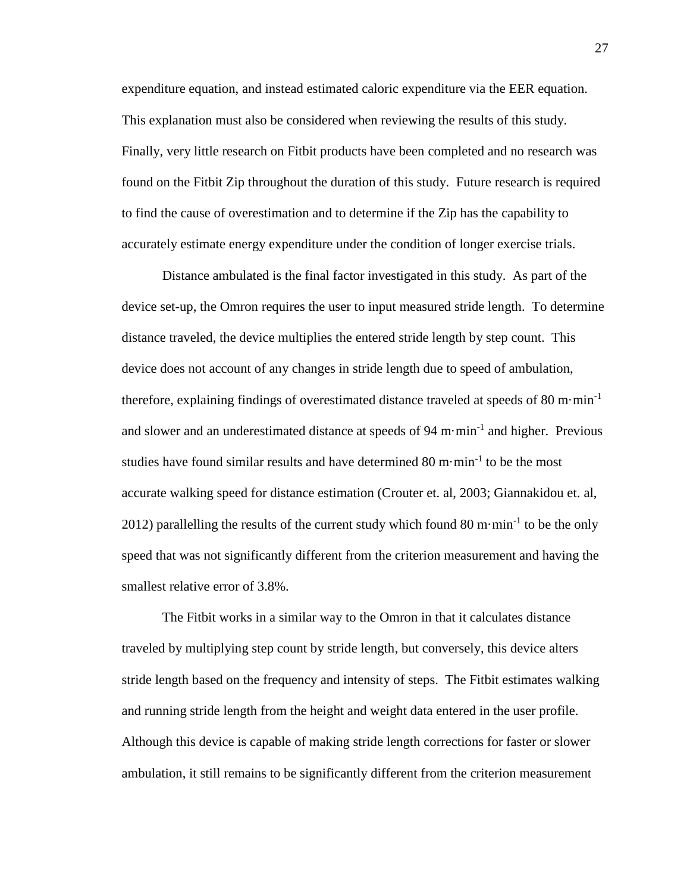expenditure equation, and instead estimated caloric expenditure via the EER equation. This explanation must also be considered when reviewing the results of this study. Finally, very little research on Fitbit products have been completed and no research was found on the Fitbit Zip throughout the duration of this study. Future research is required to find the cause of overestimation and to determine if the Zip has the capability to accurately estimate energy expenditure under the condition of longer exercise trials.

Distance ambulated is the final factor investigated in this study. As part of the device set-up, the Omron requires the user to input measured stride length. To determine distance traveled, the device multiplies the entered stride length by step count. This device does not account of any changes in stride length due to speed of ambulation, therefore, explaining findings of overestimated distance traveled at speeds of 80 m $\cdot$ min<sup>-1</sup> and slower and an underestimated distance at speeds of  $94 \text{ m}\cdot\text{min}^{-1}$  and higher. Previous studies have found similar results and have determined  $80 \text{ m} \cdot \text{min}^{-1}$  to be the most accurate walking speed for distance estimation (Crouter et. al, 2003; Giannakidou et. al, 2012) parallelling the results of the current study which found 80 m $\cdot$ min $\cdot$ <sup>1</sup> to be the only speed that was not significantly different from the criterion measurement and having the smallest relative error of 3.8%.

The Fitbit works in a similar way to the Omron in that it calculates distance traveled by multiplying step count by stride length, but conversely, this device alters stride length based on the frequency and intensity of steps. The Fitbit estimates walking and running stride length from the height and weight data entered in the user profile. Although this device is capable of making stride length corrections for faster or slower ambulation, it still remains to be significantly different from the criterion measurement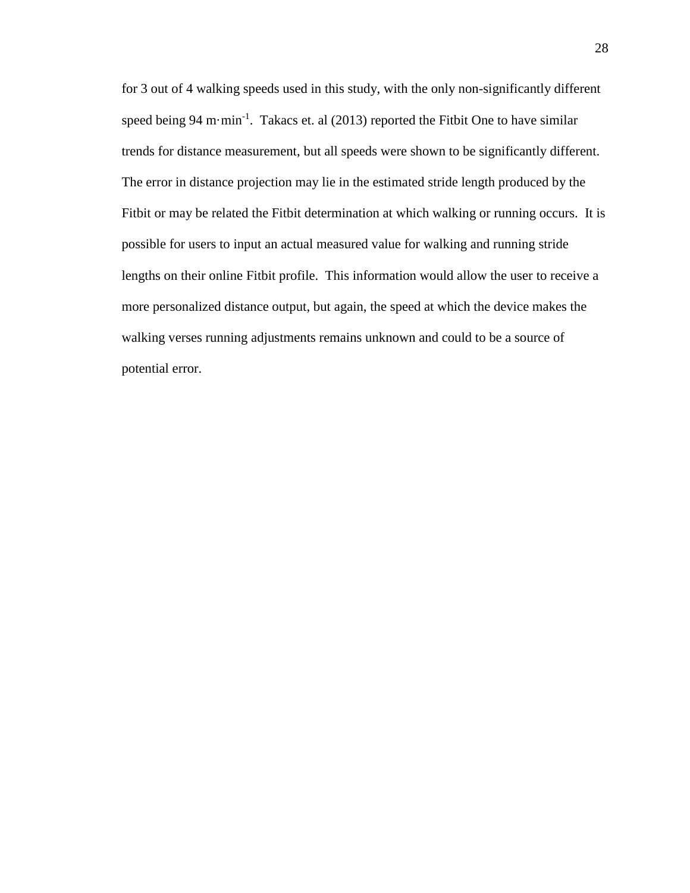for 3 out of 4 walking speeds used in this study, with the only non-significantly different speed being 94 m $\cdot$ min<sup>-1</sup>. Takacs et. al (2013) reported the Fitbit One to have similar trends for distance measurement, but all speeds were shown to be significantly different. The error in distance projection may lie in the estimated stride length produced by the Fitbit or may be related the Fitbit determination at which walking or running occurs. It is possible for users to input an actual measured value for walking and running stride lengths on their online Fitbit profile. This information would allow the user to receive a more personalized distance output, but again, the speed at which the device makes the walking verses running adjustments remains unknown and could to be a source of potential error.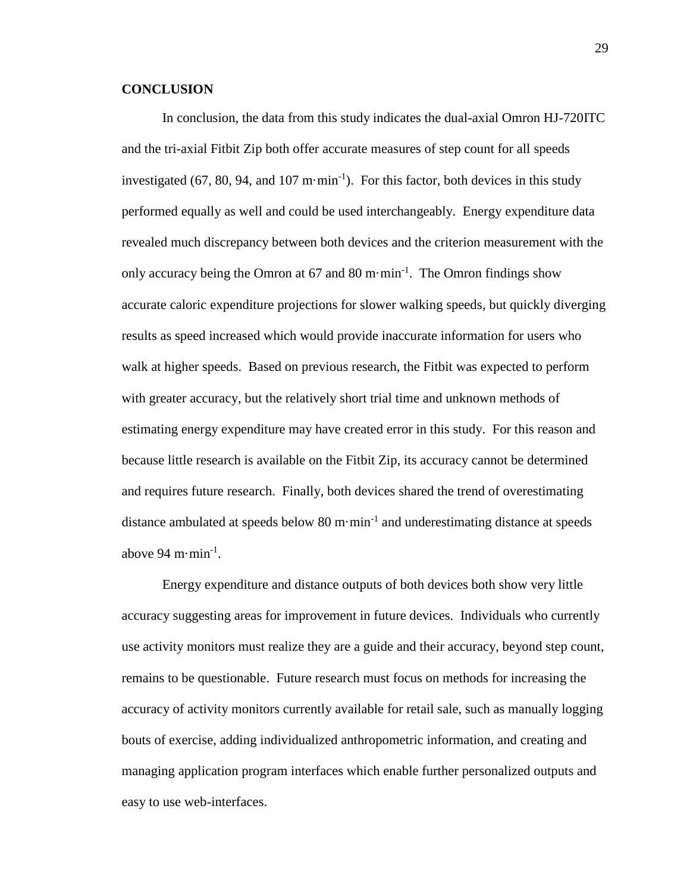### **CONCLUSION**

In conclusion, the data from this study indicates the dual-axial Omron HJ-720ITC and the tri-axial Fitbit Zip both offer accurate measures of step count for all speeds investigated (67, 80, 94, and 107 m·min<sup>-1</sup>). For this factor, both devices in this study performed equally as well and could be used interchangeably. Energy expenditure data revealed much discrepancy between both devices and the criterion measurement with the only accuracy being the Omron at  $67$  and  $80$  m·min<sup>-1</sup>. The Omron findings show accurate caloric expenditure projections for slower walking speeds, but quickly diverging results as speed increased which would provide inaccurate information for users who walk at higher speeds. Based on previous research, the Fitbit was expected to perform with greater accuracy, but the relatively short trial time and unknown methods of estimating energy expenditure may have created error in this study. For this reason and because little research is available on the Fitbit Zip, its accuracy cannot be determined and requires future research. Finally, both devices shared the trend of overestimating distance ambulated at speeds below 80 m·min<sup>-1</sup> and underestimating distance at speeds above 94 m·min<sup>-1</sup>.

Energy expenditure and distance outputs of both devices both show very little accuracy suggesting areas for improvement in future devices. Individuals who currently use activity monitors must realize they are a guide and their accuracy, beyond step count, remains to be questionable. Future research must focus on methods for increasing the accuracy of activity monitors currently available for retail sale, such as manually logging bouts of exercise, adding individualized anthropometric information, and creating and managing application program interfaces which enable further personalized outputs and easy to use web-interfaces.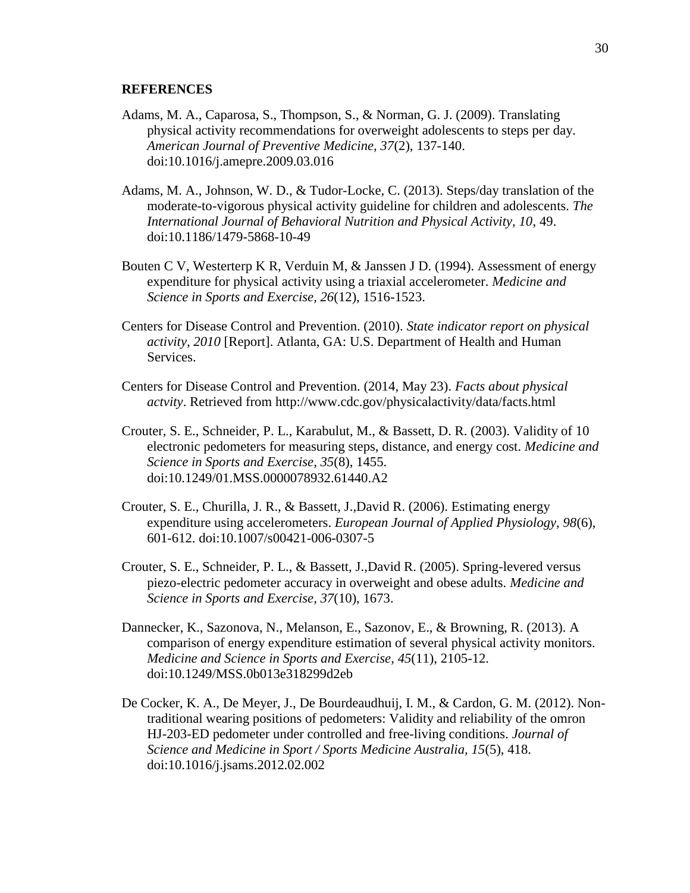#### **REFERENCES**

- Adams, M. A., Caparosa, S., Thompson, S., & Norman, G. J. (2009). Translating physical activity recommendations for overweight adolescents to steps per day. *American Journal of Preventive Medicine, 37*(2), 137-140. doi:10.1016/j.amepre.2009.03.016
- Adams, M. A., Johnson, W. D., & Tudor-Locke, C. (2013). Steps/day translation of the moderate-to-vigorous physical activity guideline for children and adolescents. *The International Journal of Behavioral Nutrition and Physical Activity, 10*, 49. doi:10.1186/1479-5868-10-49
- Bouten C V, Westerterp K R, Verduin M, & Janssen J D. (1994). Assessment of energy expenditure for physical activity using a triaxial accelerometer. *Medicine and Science in Sports and Exercise, 26*(12), 1516-1523.
- Centers for Disease Control and Prevention. (2010). *State indicator report on physical activity, 2010* [Report]. Atlanta, GA: U.S. Department of Health and Human Services.
- Centers for Disease Control and Prevention. (2014, May 23). *Facts about physical actvity*. Retrieved from http://www.cdc.gov/physicalactivity/data/facts.html
- Crouter, S. E., Schneider, P. L., Karabulut, M., & Bassett, D. R. (2003). Validity of 10 electronic pedometers for measuring steps, distance, and energy cost. *Medicine and Science in Sports and Exercise, 35*(8), 1455. doi:10.1249/01.MSS.0000078932.61440.A2
- Crouter, S. E., Churilla, J. R., & Bassett, J.,David R. (2006). Estimating energy expenditure using accelerometers. *European Journal of Applied Physiology, 98*(6), 601-612. doi:10.1007/s00421-006-0307-5
- Crouter, S. E., Schneider, P. L., & Bassett, J.,David R. (2005). Spring-levered versus piezo-electric pedometer accuracy in overweight and obese adults. *Medicine and Science in Sports and Exercise, 37*(10), 1673.
- Dannecker, K., Sazonova, N., Melanson, E., Sazonov, E., & Browning, R. (2013). A comparison of energy expenditure estimation of several physical activity monitors. *Medicine and Science in Sports and Exercise, 45*(11), 2105-12. doi:10.1249/MSS.0b013e318299d2eb
- De Cocker, K. A., De Meyer, J., De Bourdeaudhuij, I. M., & Cardon, G. M. (2012). Nontraditional wearing positions of pedometers: Validity and reliability of the omron HJ-203-ED pedometer under controlled and free-living conditions. *Journal of Science and Medicine in Sport / Sports Medicine Australia, 15*(5), 418. doi:10.1016/j.jsams.2012.02.002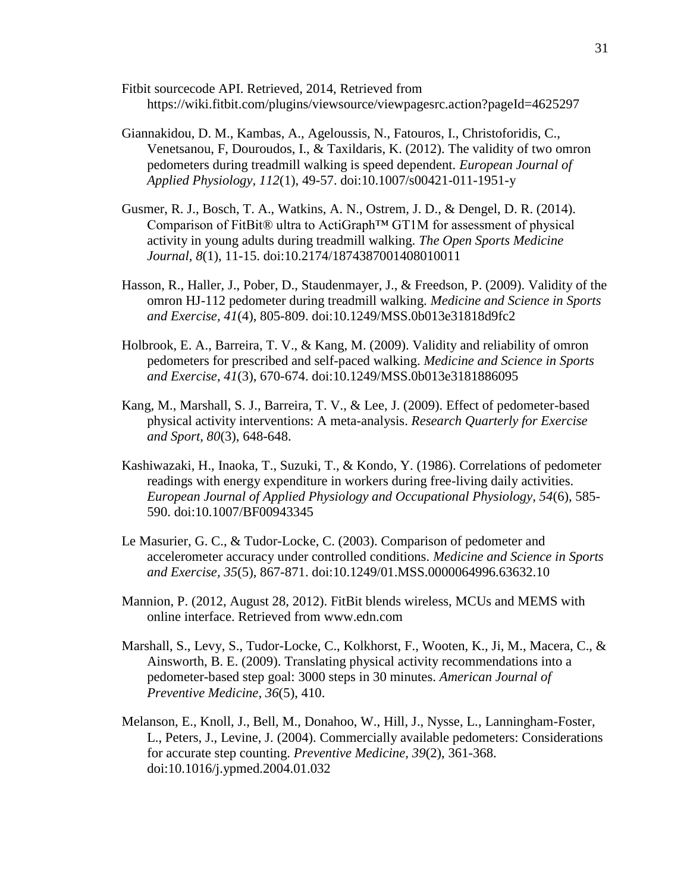- Fitbit sourcecode API. Retrieved, 2014, Retrieved from https://wiki.fitbit.com/plugins/viewsource/viewpagesrc.action?pageId=4625297
- Giannakidou, D. M., Kambas, A., Ageloussis, N., Fatouros, I., Christoforidis, C., Venetsanou, F, Douroudos, I., & Taxildaris, K. (2012). The validity of two omron pedometers during treadmill walking is speed dependent. *European Journal of Applied Physiology, 112*(1), 49-57. doi:10.1007/s00421-011-1951-y
- Gusmer, R. J., Bosch, T. A., Watkins, A. N., Ostrem, J. D., & Dengel, D. R. (2014). Comparison of FitBit® ultra to ActiGraph™ GT1M for assessment of physical activity in young adults during treadmill walking. *The Open Sports Medicine Journal, 8*(1), 11-15. doi:10.2174/1874387001408010011
- Hasson, R., Haller, J., Pober, D., Staudenmayer, J., & Freedson, P. (2009). Validity of the omron HJ-112 pedometer during treadmill walking. *Medicine and Science in Sports and Exercise, 41*(4), 805-809. doi:10.1249/MSS.0b013e31818d9fc2
- Holbrook, E. A., Barreira, T. V., & Kang, M. (2009). Validity and reliability of omron pedometers for prescribed and self-paced walking. *Medicine and Science in Sports and Exercise, 41*(3), 670-674. doi:10.1249/MSS.0b013e3181886095
- Kang, M., Marshall, S. J., Barreira, T. V., & Lee, J. (2009). Effect of pedometer-based physical activity interventions: A meta-analysis. *Research Quarterly for Exercise and Sport, 80*(3), 648-648.
- Kashiwazaki, H., Inaoka, T., Suzuki, T., & Kondo, Y. (1986). Correlations of pedometer readings with energy expenditure in workers during free-living daily activities. *European Journal of Applied Physiology and Occupational Physiology, 54*(6), 585- 590. doi:10.1007/BF00943345
- Le Masurier, G. C., & Tudor-Locke, C. (2003). Comparison of pedometer and accelerometer accuracy under controlled conditions. *Medicine and Science in Sports and Exercise, 35*(5), 867-871. doi:10.1249/01.MSS.0000064996.63632.10
- Mannion, P. (2012, August 28, 2012). FitBit blends wireless, MCUs and MEMS with online interface. Retrieved from www.edn.com
- Marshall, S., Levy, S., Tudor-Locke, C., Kolkhorst, F., Wooten, K., Ji, M., Macera, C., & Ainsworth, B. E. (2009). Translating physical activity recommendations into a pedometer-based step goal: 3000 steps in 30 minutes. *American Journal of Preventive Medicine, 36*(5), 410.
- Melanson, E., Knoll, J., Bell, M., Donahoo, W., Hill, J., Nysse, L., Lanningham-Foster, L., Peters, J., Levine, J. (2004). Commercially available pedometers: Considerations for accurate step counting. *Preventive Medicine, 39*(2), 361-368. doi:10.1016/j.ypmed.2004.01.032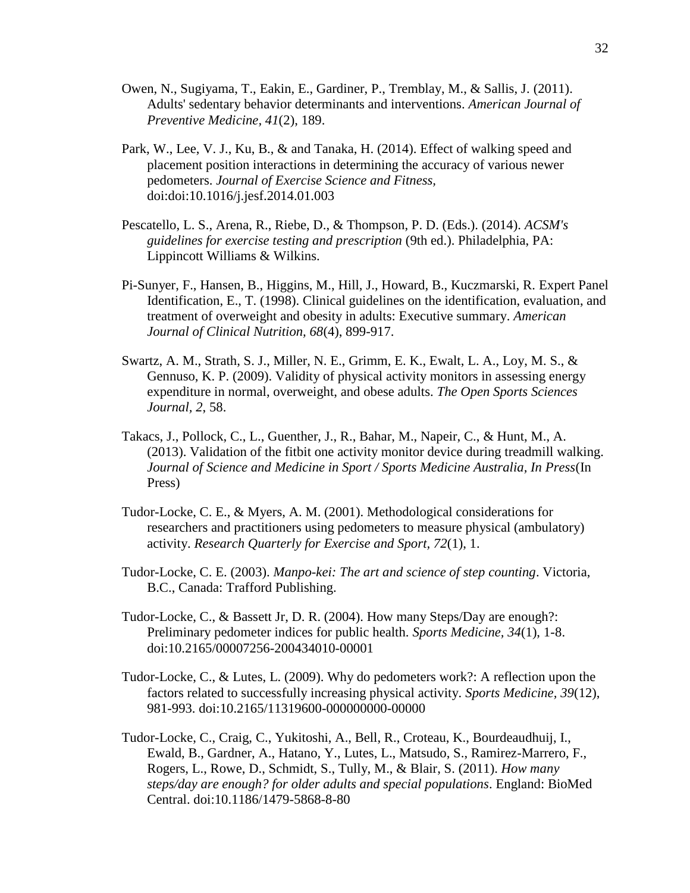- Owen, N., Sugiyama, T., Eakin, E., Gardiner, P., Tremblay, M., & Sallis, J. (2011). Adults' sedentary behavior determinants and interventions. *American Journal of Preventive Medicine, 41*(2), 189.
- Park, W., Lee, V. J., Ku, B., & and Tanaka, H. (2014). Effect of walking speed and placement position interactions in determining the accuracy of various newer pedometers. *Journal of Exercise Science and Fitness,*  doi:doi:10.1016/j.jesf.2014.01.003
- Pescatello, L. S., Arena, R., Riebe, D., & Thompson, P. D. (Eds.). (2014). *ACSM's guidelines for exercise testing and prescription* (9th ed.). Philadelphia, PA: Lippincott Williams & Wilkins.
- Pi-Sunyer, F., Hansen, B., Higgins, M., Hill, J., Howard, B., Kuczmarski, R. Expert Panel Identification, E., T. (1998). Clinical guidelines on the identification, evaluation, and treatment of overweight and obesity in adults: Executive summary. *American Journal of Clinical Nutrition, 68*(4), 899-917.
- Swartz, A. M., Strath, S. J., Miller, N. E., Grimm, E. K., Ewalt, L. A., Loy, M. S., & Gennuso, K. P. (2009). Validity of physical activity monitors in assessing energy expenditure in normal, overweight, and obese adults. *The Open Sports Sciences Journal, 2*, 58.
- Takacs, J., Pollock, C., L., Guenther, J., R., Bahar, M., Napeir, C., & Hunt, M., A. (2013). Validation of the fitbit one activity monitor device during treadmill walking. *Journal of Science and Medicine in Sport / Sports Medicine Australia, In Press*(In Press)
- Tudor-Locke, C. E., & Myers, A. M. (2001). Methodological considerations for researchers and practitioners using pedometers to measure physical (ambulatory) activity. *Research Quarterly for Exercise and Sport, 72*(1), 1.
- Tudor-Locke, C. E. (2003). *Manpo-kei: The art and science of step counting*. Victoria, B.C., Canada: Trafford Publishing.
- Tudor-Locke, C., & Bassett Jr, D. R. (2004). How many Steps/Day are enough?: Preliminary pedometer indices for public health. *Sports Medicine, 34*(1), 1-8. doi:10.2165/00007256-200434010-00001
- Tudor-Locke, C., & Lutes, L. (2009). Why do pedometers work?: A reflection upon the factors related to successfully increasing physical activity. *Sports Medicine, 39*(12), 981-993. doi:10.2165/11319600-000000000-00000
- Tudor-Locke, C., Craig, C., Yukitoshi, A., Bell, R., Croteau, K., Bourdeaudhuij, I., Ewald, B., Gardner, A., Hatano, Y., Lutes, L., Matsudo, S., Ramirez-Marrero, F., Rogers, L., Rowe, D., Schmidt, S., Tully, M., & Blair, S. (2011). *How many steps/day are enough? for older adults and special populations*. England: BioMed Central. doi:10.1186/1479-5868-8-80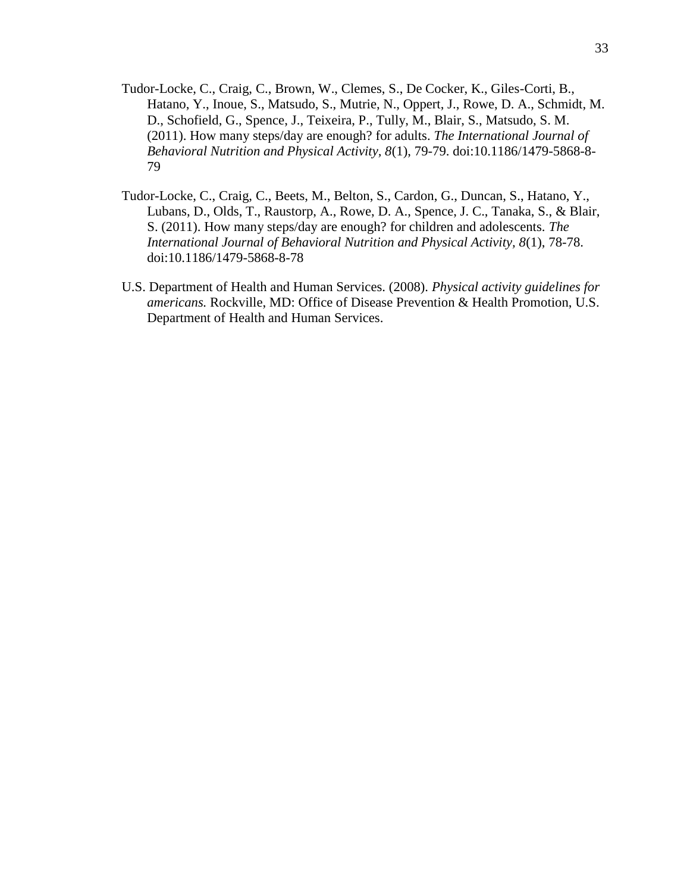- Tudor-Locke, C., Craig, C., Brown, W., Clemes, S., De Cocker, K., Giles-Corti, B., Hatano, Y., Inoue, S., Matsudo, S., Mutrie, N., Oppert, J., Rowe, D. A., Schmidt, M. D., Schofield, G., Spence, J., Teixeira, P., Tully, M., Blair, S., Matsudo, S. M. (2011). How many steps/day are enough? for adults. *The International Journal of Behavioral Nutrition and Physical Activity, 8*(1), 79-79. doi:10.1186/1479-5868-8- 79
- Tudor-Locke, C., Craig, C., Beets, M., Belton, S., Cardon, G., Duncan, S., Hatano, Y., Lubans, D., Olds, T., Raustorp, A., Rowe, D. A., Spence, J. C., Tanaka, S., & Blair, S. (2011). How many steps/day are enough? for children and adolescents. *The International Journal of Behavioral Nutrition and Physical Activity, 8*(1), 78-78. doi:10.1186/1479-5868-8-78
- U.S. Department of Health and Human Services. (2008). *Physical activity guidelines for americans.* Rockville, MD: Office of Disease Prevention & Health Promotion, U.S. Department of Health and Human Services.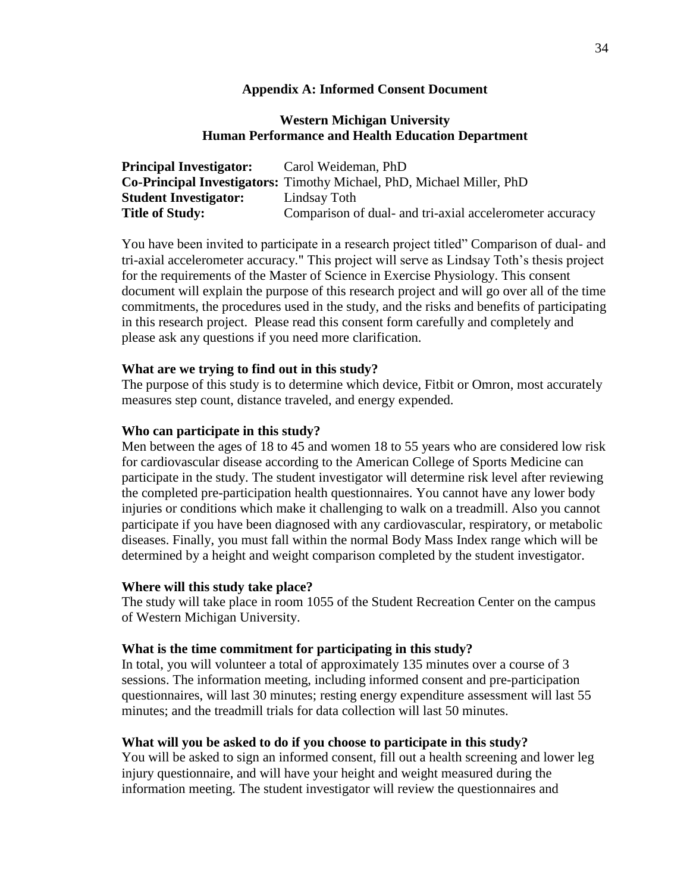#### **Appendix A: Informed Consent Document**

#### **Western Michigan University Human Performance and Health Education Department**

| <b>Principal Investigator:</b> | Carol Weideman, PhD                                                          |
|--------------------------------|------------------------------------------------------------------------------|
|                                | <b>Co-Principal Investigators:</b> Timothy Michael, PhD, Michael Miller, PhD |
| <b>Student Investigator:</b>   | Lindsay Toth                                                                 |
| <b>Title of Study:</b>         | Comparison of dual- and tri-axial accelerometer accuracy                     |

You have been invited to participate in a research project titled" Comparison of dual- and tri-axial accelerometer accuracy*.*" This project will serve as Lindsay Toth's thesis project for the requirements of the Master of Science in Exercise Physiology. This consent document will explain the purpose of this research project and will go over all of the time commitments, the procedures used in the study, and the risks and benefits of participating in this research project. Please read this consent form carefully and completely and please ask any questions if you need more clarification.

#### **What are we trying to find out in this study?**

The purpose of this study is to determine which device, Fitbit or Omron, most accurately measures step count, distance traveled, and energy expended.

#### **Who can participate in this study?**

Men between the ages of 18 to 45 and women 18 to 55 years who are considered low risk for cardiovascular disease according to the American College of Sports Medicine can participate in the study. The student investigator will determine risk level after reviewing the completed pre-participation health questionnaires. You cannot have any lower body injuries or conditions which make it challenging to walk on a treadmill. Also you cannot participate if you have been diagnosed with any cardiovascular, respiratory, or metabolic diseases. Finally, you must fall within the normal Body Mass Index range which will be determined by a height and weight comparison completed by the student investigator.

#### **Where will this study take place?**

The study will take place in room 1055 of the Student Recreation Center on the campus of Western Michigan University.

#### **What is the time commitment for participating in this study?**

In total, you will volunteer a total of approximately 135 minutes over a course of 3 sessions. The information meeting, including informed consent and pre-participation questionnaires, will last 30 minutes; resting energy expenditure assessment will last 55 minutes; and the treadmill trials for data collection will last 50 minutes.

#### **What will you be asked to do if you choose to participate in this study?**

You will be asked to sign an informed consent, fill out a health screening and lower leg injury questionnaire, and will have your height and weight measured during the information meeting. The student investigator will review the questionnaires and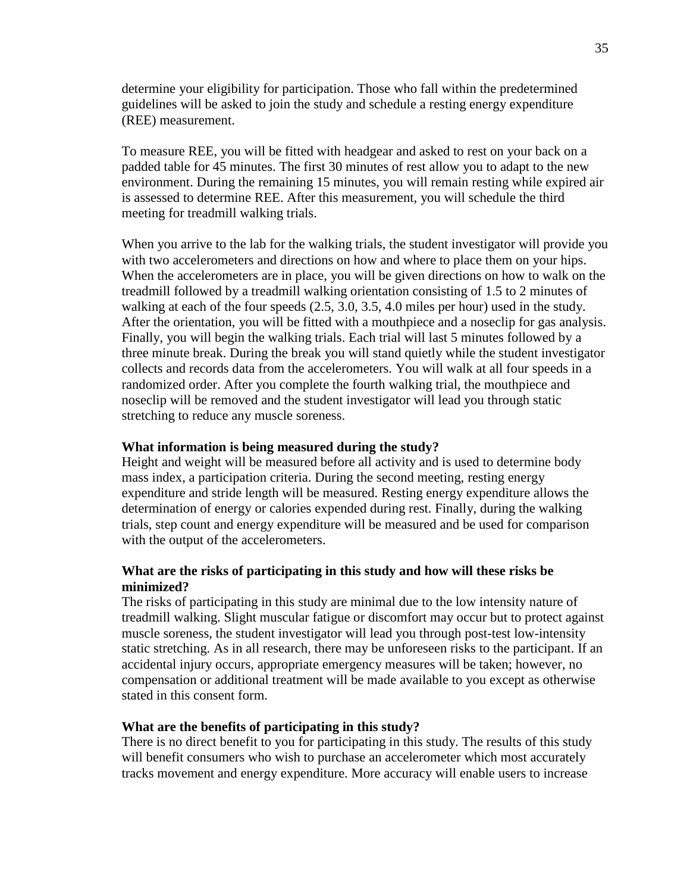determine your eligibility for participation. Those who fall within the predetermined guidelines will be asked to join the study and schedule a resting energy expenditure (REE) measurement.

To measure REE, you will be fitted with headgear and asked to rest on your back on a padded table for 45 minutes. The first 30 minutes of rest allow you to adapt to the new environment. During the remaining 15 minutes, you will remain resting while expired air is assessed to determine REE. After this measurement, you will schedule the third meeting for treadmill walking trials.

When you arrive to the lab for the walking trials, the student investigator will provide you with two accelerometers and directions on how and where to place them on your hips. When the accelerometers are in place, you will be given directions on how to walk on the treadmill followed by a treadmill walking orientation consisting of 1.5 to 2 minutes of walking at each of the four speeds  $(2.5, 3.0, 3.5, 4.0$  miles per hour) used in the study. After the orientation, you will be fitted with a mouthpiece and a noseclip for gas analysis. Finally, you will begin the walking trials. Each trial will last 5 minutes followed by a three minute break. During the break you will stand quietly while the student investigator collects and records data from the accelerometers. You will walk at all four speeds in a randomized order. After you complete the fourth walking trial, the mouthpiece and noseclip will be removed and the student investigator will lead you through static stretching to reduce any muscle soreness.

#### **What information is being measured during the study?**

Height and weight will be measured before all activity and is used to determine body mass index, a participation criteria. During the second meeting, resting energy expenditure and stride length will be measured. Resting energy expenditure allows the determination of energy or calories expended during rest. Finally, during the walking trials, step count and energy expenditure will be measured and be used for comparison with the output of the accelerometers.

#### **What are the risks of participating in this study and how will these risks be minimized?**

The risks of participating in this study are minimal due to the low intensity nature of treadmill walking. Slight muscular fatigue or discomfort may occur but to protect against muscle soreness, the student investigator will lead you through post-test low-intensity static stretching. As in all research, there may be unforeseen risks to the participant. If an accidental injury occurs, appropriate emergency measures will be taken; however, no compensation or additional treatment will be made available to you except as otherwise stated in this consent form.

#### **What are the benefits of participating in this study?**

There is no direct benefit to you for participating in this study. The results of this study will benefit consumers who wish to purchase an accelerometer which most accurately tracks movement and energy expenditure. More accuracy will enable users to increase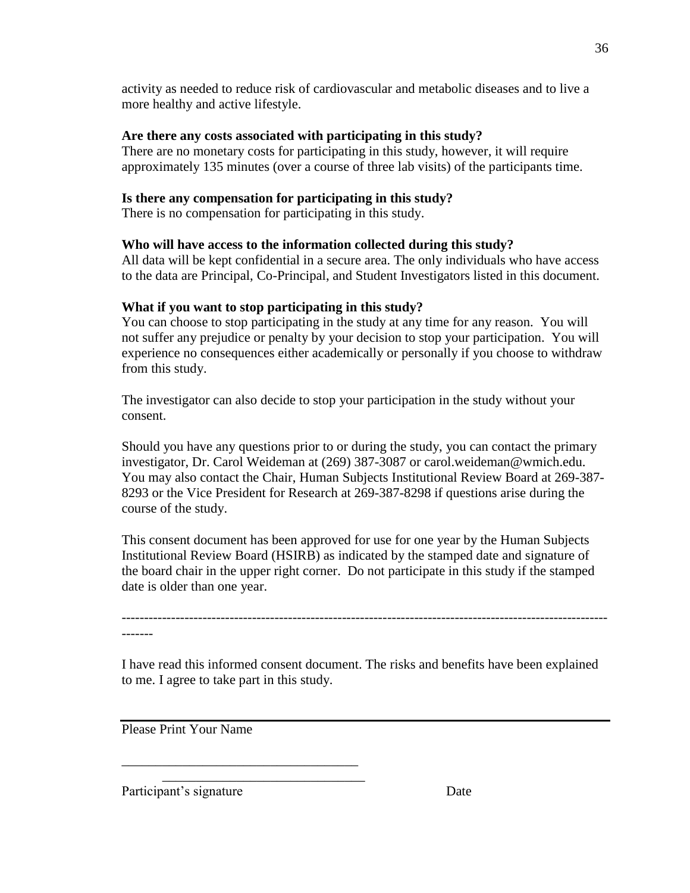activity as needed to reduce risk of cardiovascular and metabolic diseases and to live a more healthy and active lifestyle.

## **Are there any costs associated with participating in this study?**

There are no monetary costs for participating in this study, however, it will require approximately 135 minutes (over a course of three lab visits) of the participants time.

## **Is there any compensation for participating in this study?**

There is no compensation for participating in this study.

## **Who will have access to the information collected during this study?**

All data will be kept confidential in a secure area. The only individuals who have access to the data are Principal, Co-Principal, and Student Investigators listed in this document.

## **What if you want to stop participating in this study?**

You can choose to stop participating in the study at any time for any reason. You will not suffer any prejudice or penalty by your decision to stop your participation. You will experience no consequences either academically or personally if you choose to withdraw from this study.

The investigator can also decide to stop your participation in the study without your consent.

Should you have any questions prior to or during the study, you can contact the primary investigator, Dr. Carol Weideman at (269) 387-3087 or carol.weideman@wmich.edu. You may also contact the Chair, Human Subjects Institutional Review Board at 269-387- 8293 or the Vice President for Research at 269-387-8298 if questions arise during the course of the study.

This consent document has been approved for use for one year by the Human Subjects Institutional Review Board (HSIRB) as indicated by the stamped date and signature of the board chair in the upper right corner. Do not participate in this study if the stamped date is older than one year.

-------

I have read this informed consent document. The risks and benefits have been explained to me. I agree to take part in this study.

------------------------------------------------------------------------------------------------------------

Please Print Your Name

\_\_\_\_\_\_\_\_\_\_\_\_\_\_\_\_\_\_\_\_\_\_\_\_\_\_\_\_\_\_\_\_\_\_\_

\_\_\_\_\_\_\_\_\_\_\_\_\_\_\_\_\_\_\_\_\_\_\_\_\_\_\_\_\_\_

Participant's signature Date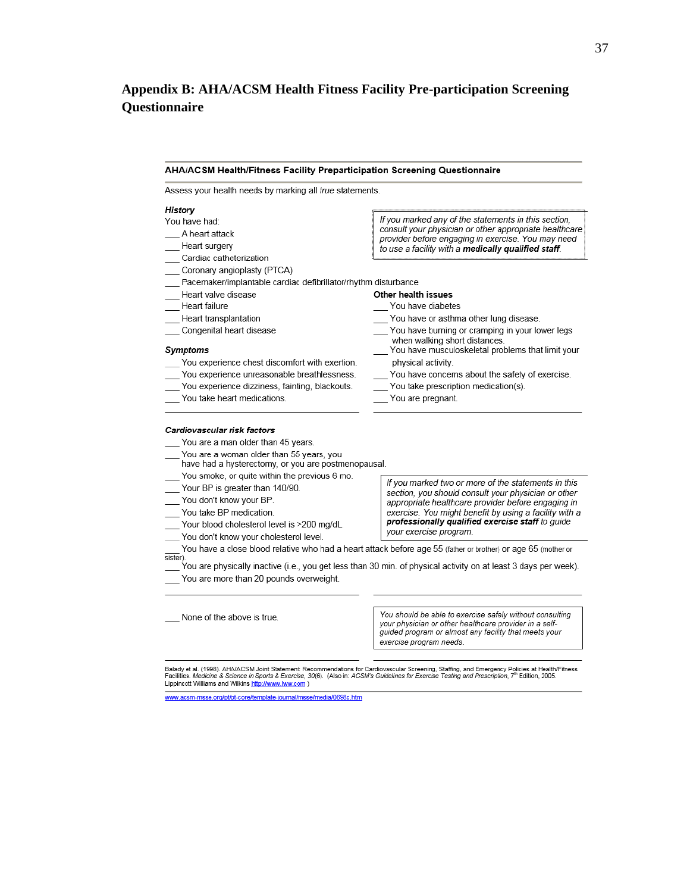## **Appendix B: AHA/ACSM Health Fitness Facility Pre-participation Screening Questionnaire**

#### AHA/ACSM Health/Fitness Facility Preparticipation Screening Questionnaire Assess your health needs by marking all true statements. History If you marked any of the statements in this section, You have had: consult your physician or other appropriate healthcare A heart attack provider before engaging in exercise. You may need Heart surgery to use a facility with a medically qualified staff. Cardiac catheterization Coronary angioplasty (PTCA) Pacemaker/implantable cardiac defibrillator/rhythm disturbance Heart valve disease Other health issues Heart failure You have diabetes Heart transplantation You have or asthma other lung disease. \_ Congenital heart disease You have burning or cramping in your lower legs when walking short distances. You have musculoskeletal problems that limit your **Symptoms** You experience chest discomfort with exertion. physical activity. You experience unreasonable breathlessness. You have concerns about the safety of exercise. You experience dizziness, fainting, blackouts. You take prescription medication(s). You take heart medications. You are pregnant. Cardiovascular risk factors You are a man older than 45 years. You are a woman older than 55 years, you have had a hysterectomy, or you are postmenopausal. You smoke, or quite within the previous 6 mo. If you marked two or more of the statements in this Your BP is greater than 140/90. section, you should consult your physician or other

- You don't know your BP.
- You take BP medication.
- Your blood cholesterol level is >200 mg/dL.
- You don't know your cholesterol level.
- You have a close blood relative who had a heart attack before age 55 (father or brother) or age 65 (mother or sister).

You are physically inactive (i.e., you get less than 30 min. of physical activity on at least 3 days per week). You are more than 20 pounds overweight.

None of the above is true.

You should be able to exercise safely without consulting vour physician or other healthcare provider in a selfguided program or almost any facility that meets your exercise program needs.

appropriate healthcare provider before engaging in

exercise. You might benefit by using a facility with a professionally qualified exercise staff to guide

your exercise program.

Balady et al. (1998). AHA/ACSM Joint Statement: Recommendations for Cardiovascular Screening, Staffing, and Emergency Policies at Health/Fitness<br>Facilities. Medicine & Science in Sports & Exercise, 30(6). (Also in: ACSM's Lippincott Williams and Wilkins http://www.lww.com )

www.acsm-msse.org/pt/pt-core/template-journal/msse/media/0698c.htm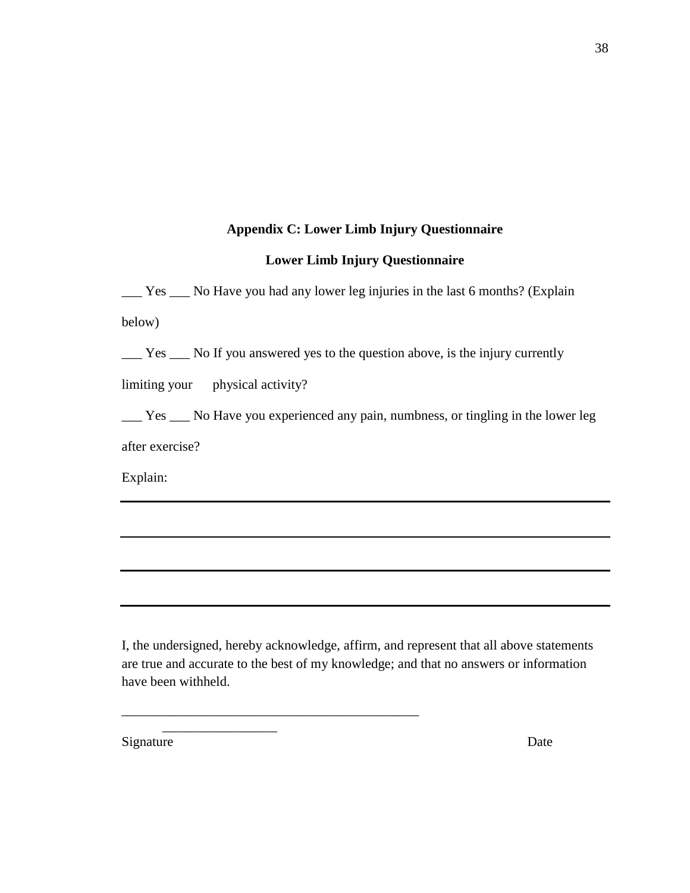### **Appendix C: Lower Limb Injury Questionnaire**

## **Lower Limb Injury Questionnaire**

\_\_\_ Yes \_\_\_ No Have you had any lower leg injuries in the last 6 months? (Explain below)

\_\_\_ Yes \_\_\_ No If you answered yes to the question above, is the injury currently

limiting your physical activity?

\_\_\_ Yes \_\_\_ No Have you experienced any pain, numbness, or tingling in the lower leg after exercise?

Explain:

I, the undersigned, hereby acknowledge, affirm, and represent that all above statements are true and accurate to the best of my knowledge; and that no answers or information have been withheld.

\_\_\_\_\_\_\_\_\_\_\_\_\_\_\_\_\_\_\_\_\_\_\_\_\_\_\_\_\_\_\_\_\_\_\_\_\_\_\_\_\_\_\_\_

\_\_\_\_\_\_\_\_\_\_\_\_\_\_\_\_\_

Signature Date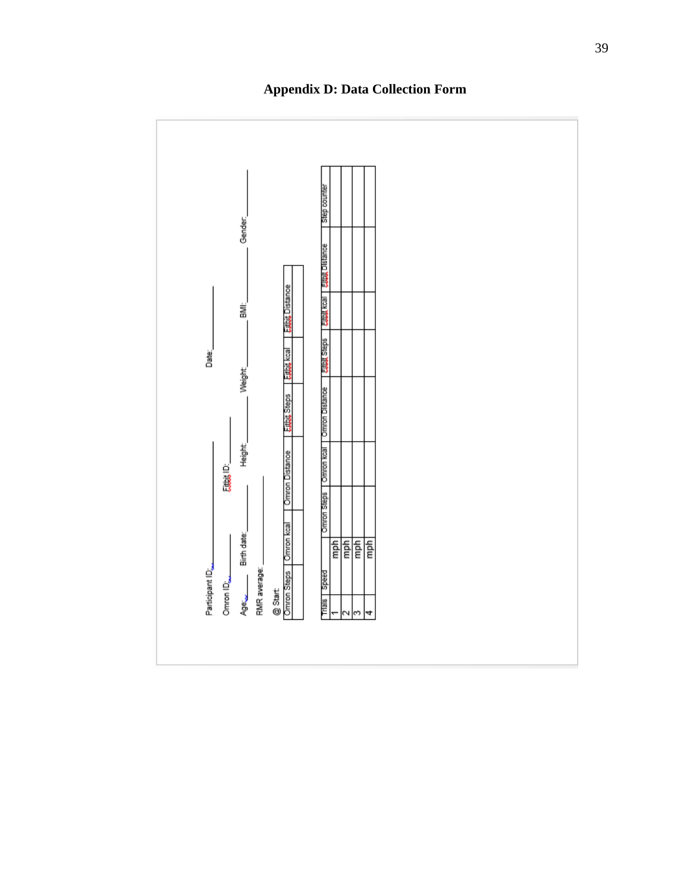

**Appendix D: Data Collection Form**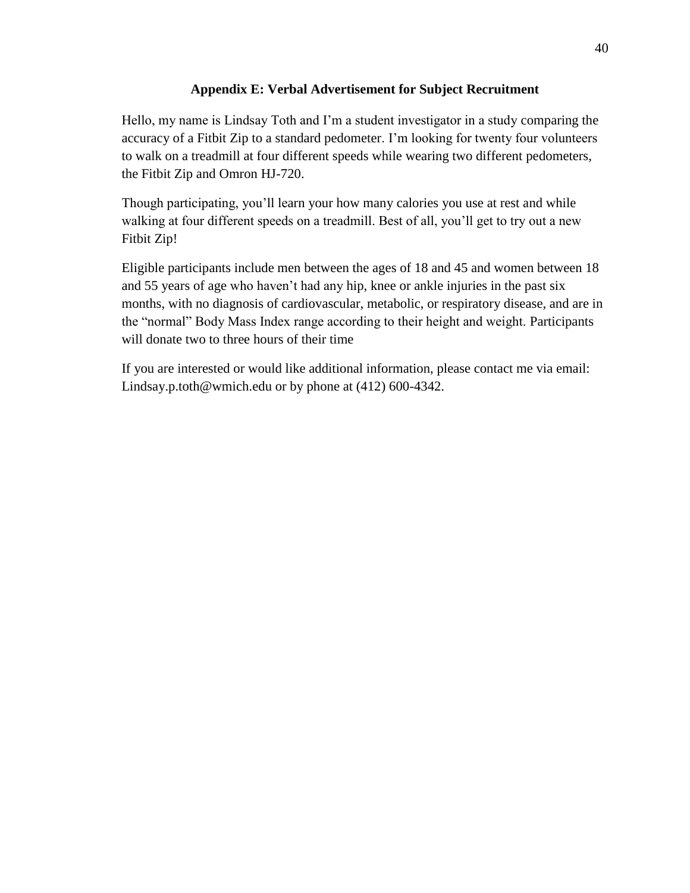## **Appendix E: Verbal Advertisement for Subject Recruitment**

Hello, my name is Lindsay Toth and I'm a student investigator in a study comparing the accuracy of a Fitbit Zip to a standard pedometer. I'm looking for twenty four volunteers to walk on a treadmill at four different speeds while wearing two different pedometers, the Fitbit Zip and Omron HJ-720.

Though participating, you'll learn your how many calories you use at rest and while walking at four different speeds on a treadmill. Best of all, you'll get to try out a new Fitbit Zip!

Eligible participants include men between the ages of 18 and 45 and women between 18 and 55 years of age who haven't had any hip, knee or ankle injuries in the past six months, with no diagnosis of cardiovascular, metabolic, or respiratory disease, and are in the "normal" Body Mass Index range according to their height and weight. Participants will donate two to three hours of their time

If you are interested or would like additional information, please contact me via email: Lindsay.p.toth@wmich.edu or by phone at (412) 600-4342.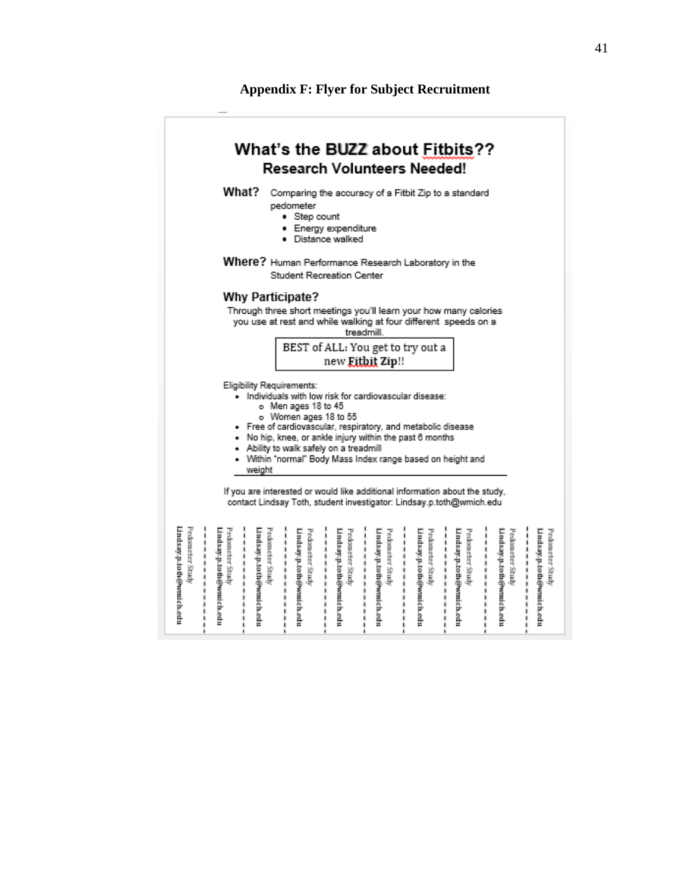#### **Appendix F: Flyer for Subject Recruitment**